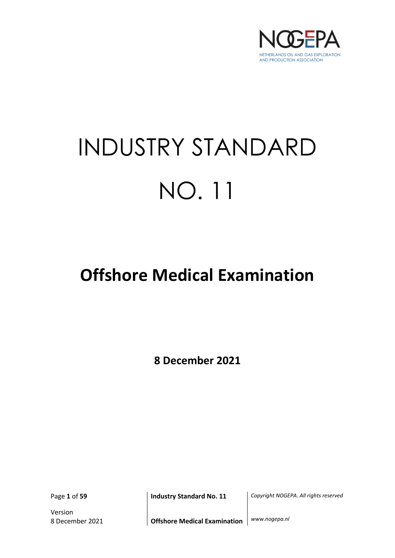

# INDUSTRY STANDARD NO. 11

## **Offshore Medical Examination**

**8 December 2021**

Version

Page **1** of **59 Industry Standard No. 11** *Copyright NOGEPA. All rights reserved*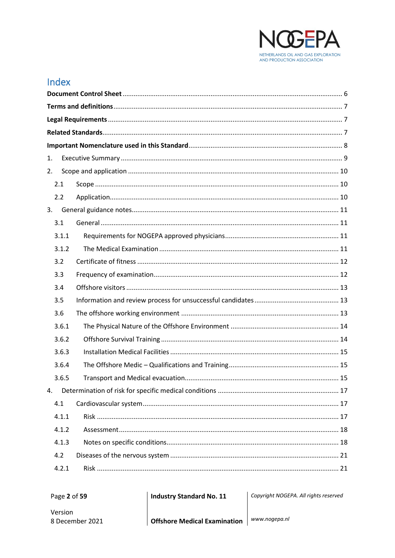

## Index

| 1. |       |  |  |  |  |
|----|-------|--|--|--|--|
| 2. |       |  |  |  |  |
|    | 2.1   |  |  |  |  |
|    | 2.2   |  |  |  |  |
| 3. |       |  |  |  |  |
|    | 3.1   |  |  |  |  |
|    | 3.1.1 |  |  |  |  |
|    | 3.1.2 |  |  |  |  |
|    | 3.2   |  |  |  |  |
|    | 3.3   |  |  |  |  |
|    | 3.4   |  |  |  |  |
|    | 3.5   |  |  |  |  |
|    | 3.6   |  |  |  |  |
|    | 3.6.1 |  |  |  |  |
|    | 3.6.2 |  |  |  |  |
|    | 3.6.3 |  |  |  |  |
|    | 3.6.4 |  |  |  |  |
|    | 3.6.5 |  |  |  |  |
| 4. |       |  |  |  |  |
|    | 4.1   |  |  |  |  |
|    | 4.1.1 |  |  |  |  |
|    | 4.1.2 |  |  |  |  |
|    | 4.1.3 |  |  |  |  |
|    | 4.2   |  |  |  |  |
|    | 4.2.1 |  |  |  |  |

**Industry Standard No. 11** 

Copyright NOGEPA. All rights reserved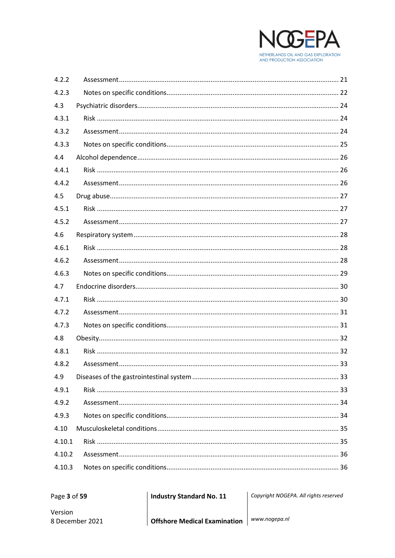

| 4.2.2  |  |
|--------|--|
| 4.2.3  |  |
| 4.3    |  |
| 4.3.1  |  |
| 4.3.2  |  |
| 4.3.3  |  |
| 4.4    |  |
| 4.4.1  |  |
| 4.4.2  |  |
| 4.5    |  |
| 4.5.1  |  |
| 4.5.2  |  |
| 4.6    |  |
| 4.6.1  |  |
| 4.6.2  |  |
| 4.6.3  |  |
| 4.7    |  |
| 4.7.1  |  |
| 4.7.2  |  |
| 4.7.3  |  |
| 4.8    |  |
| 4.8.1  |  |
| 4.8.2  |  |
| 4.9    |  |
| 4.9.1  |  |
| 4.9.2  |  |
| 4.9.3  |  |
| 4.10   |  |
| 4.10.1 |  |
| 4.10.2 |  |
| 4.10.3 |  |

Page 3 of 59

**Industry Standard No. 11** 

Copyright NOGEPA. All rights reserved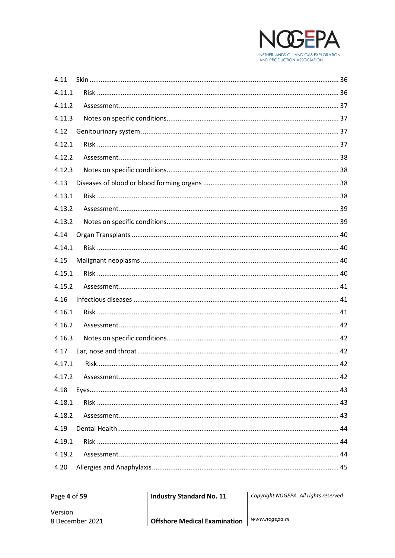

| 4.11   |  |
|--------|--|
| 4.11.1 |  |
| 4.11.2 |  |
| 4.11.3 |  |
| 4.12   |  |
| 4.12.1 |  |
| 4.12.2 |  |
| 4.12.3 |  |
| 4.13   |  |
| 4.13.1 |  |
| 4.13.2 |  |
| 4.13.2 |  |
| 4.14   |  |
| 4.14.1 |  |
| 4.15   |  |
| 4.15.1 |  |
| 4.15.2 |  |
| 4.16   |  |
| 4.16.1 |  |
| 4.16.2 |  |
| 4.16.3 |  |
| 4.17   |  |
| 4.17.1 |  |
| 4.17.2 |  |
| 4.18   |  |
| 4.18.1 |  |
| 4.18.2 |  |
| 4.19   |  |
| 4.19.1 |  |
| 4.19.2 |  |
| 4.20   |  |

**Industry Standard No. 11** 

Copyright NOGEPA. All rights reserved

Version 8 December 2021

Offshore Medical Examination | www.nogepa.nl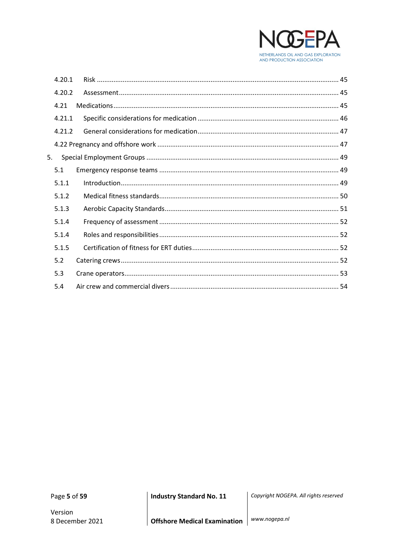

|    | 4.20.1 |  |
|----|--------|--|
|    | 4.20.2 |  |
|    | 4.21   |  |
|    | 4.21.1 |  |
|    | 4.21.2 |  |
|    |        |  |
| 5. |        |  |
|    | 5.1    |  |
|    | 5.1.1  |  |
|    | 5.1.2  |  |
|    | 5.1.3  |  |
|    | 5.1.4  |  |
|    | 5.1.4  |  |
|    | 5.1.5  |  |
|    | 5.2    |  |
|    | 5.3    |  |
|    | 5.4    |  |

Page 5 of 59

Version 8 December 2021 **Industry Standard No. 11** 

Copyright NOGEPA. All rights reserved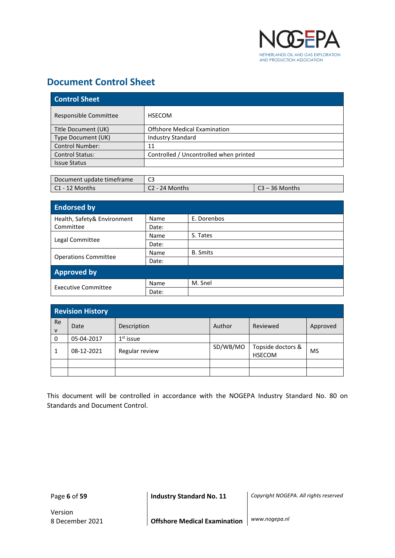

## <span id="page-5-0"></span>**Document Control Sheet**

| <b>Control Sheet</b>   |                                        |  |  |
|------------------------|----------------------------------------|--|--|
| Responsible Committee  | <b>HSECOM</b>                          |  |  |
| Title Document (UK)    | <b>Offshore Medical Examination</b>    |  |  |
| Type Document (UK)     | <b>Industry Standard</b>               |  |  |
| <b>Control Number:</b> | 11                                     |  |  |
| <b>Control Status:</b> | Controlled / Uncontrolled when printed |  |  |
| <b>Issue Status</b>    |                                        |  |  |

| Document update timeframe |                |                  |
|---------------------------|----------------|------------------|
| $\mathsf{C1}$ - 12 Months | C2 - 24 Months | ิ 23 – 36 Months |

| <b>Endorsed by</b>          |             |                 |
|-----------------------------|-------------|-----------------|
| Health, Safety& Environment | Name        | E. Dorenbos     |
| Committee                   | Date:       |                 |
|                             | <b>Name</b> | S. Tates        |
| Legal Committee             | Date:       |                 |
|                             | Name        | <b>B.</b> Smits |
| <b>Operations Committee</b> | Date:       |                 |
| <b>Approved by</b>          |             |                 |
| Executive Committee         | Name        | M. Snel         |
|                             | Date:       |                 |

|                    | <b>Revision History</b> |                |          |                                    |          |  |
|--------------------|-------------------------|----------------|----------|------------------------------------|----------|--|
| Re<br>$\mathsf{V}$ | Date                    | Description    | Author   | Reviewed                           | Approved |  |
| 0                  | 05-04-2017              | $1st$ issue    |          |                                    |          |  |
|                    | 08-12-2021              | Regular review | SD/WB/MO | Topside doctors &<br><b>HSECOM</b> | MS       |  |
|                    |                         |                |          |                                    |          |  |
|                    |                         |                |          |                                    |          |  |

This document will be controlled in accordance with the NOGEPA Industry Standard No. 80 on Standards and Document Control.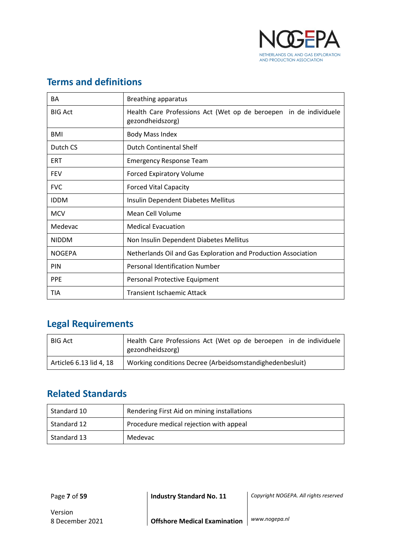

| BA             | Breathing apparatus                                                                   |
|----------------|---------------------------------------------------------------------------------------|
| <b>BIG Act</b> | Health Care Professions Act (Wet op de beroepen in de individuele<br>gezondheidszorg) |
| BMI            | <b>Body Mass Index</b>                                                                |
| Dutch CS       | <b>Dutch Continental Shelf</b>                                                        |
| ERT            | <b>Emergency Response Team</b>                                                        |
| <b>FEV</b>     | <b>Forced Expiratory Volume</b>                                                       |
| <b>FVC</b>     | <b>Forced Vital Capacity</b>                                                          |
| <b>IDDM</b>    | Insulin Dependent Diabetes Mellitus                                                   |
| <b>MCV</b>     | Mean Cell Volume                                                                      |
| Medevac        | <b>Medical Evacuation</b>                                                             |
| <b>NIDDM</b>   | Non Insulin Dependent Diabetes Mellitus                                               |
| <b>NOGEPA</b>  | Netherlands Oil and Gas Exploration and Production Association                        |
| <b>PIN</b>     | <b>Personal Identification Number</b>                                                 |
| <b>PPF</b>     | Personal Protective Equipment                                                         |
| TIA            | Transient Ischaemic Attack                                                            |

## <span id="page-6-0"></span>**Terms and definitions**

## <span id="page-6-1"></span>**Legal Requirements**

| <b>BIG Act</b>          | Health Care Professions Act (Wet op de beroepen in de individuele<br>gezondheidszorg) |
|-------------------------|---------------------------------------------------------------------------------------|
| Article6 6.13 lid 4, 18 | Working conditions Decree (Arbeidsomstandighedenbesluit)                              |

## <span id="page-6-2"></span>**Related Standards**

| Standard 10 | Rendering First Aid on mining installations |
|-------------|---------------------------------------------|
| Standard 12 | Procedure medical rejection with appeal     |
| Standard 13 | Medevac                                     |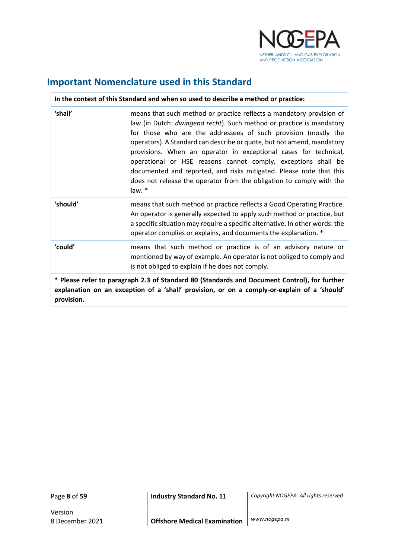

## <span id="page-7-0"></span>**Important Nomenclature used in this Standard**

| In the context of this Standard and when so used to describe a method or practice:                                                                                                          |                                                                                                                                                                                                                                                                                                                                                                                                                                                                                                                                                                                        |  |
|---------------------------------------------------------------------------------------------------------------------------------------------------------------------------------------------|----------------------------------------------------------------------------------------------------------------------------------------------------------------------------------------------------------------------------------------------------------------------------------------------------------------------------------------------------------------------------------------------------------------------------------------------------------------------------------------------------------------------------------------------------------------------------------------|--|
| 'shall'                                                                                                                                                                                     | means that such method or practice reflects a mandatory provision of<br>law (in Dutch: dwingend recht). Such method or practice is mandatory<br>for those who are the addressees of such provision (mostly the<br>operators). A Standard can describe or quote, but not amend, mandatory<br>provisions. When an operator in exceptional cases for technical,<br>operational or HSE reasons cannot comply, exceptions shall be<br>documented and reported, and risks mitigated. Please note that this<br>does not release the operator from the obligation to comply with the<br>law. * |  |
| 'should'                                                                                                                                                                                    | means that such method or practice reflects a Good Operating Practice.<br>An operator is generally expected to apply such method or practice, but<br>a specific situation may require a specific alternative. In other words: the<br>operator complies or explains, and documents the explanation. *                                                                                                                                                                                                                                                                                   |  |
| 'could'                                                                                                                                                                                     | means that such method or practice is of an advisory nature or<br>mentioned by way of example. An operator is not obliged to comply and<br>is not obliged to explain if he does not comply.                                                                                                                                                                                                                                                                                                                                                                                            |  |
| * Please refer to paragraph 2.3 of Standard 80 (Standards and Document Control), for further<br>explanation on an exception of a 'shall' provision, or on a comply-or-explain of a 'should' |                                                                                                                                                                                                                                                                                                                                                                                                                                                                                                                                                                                        |  |

**provision.**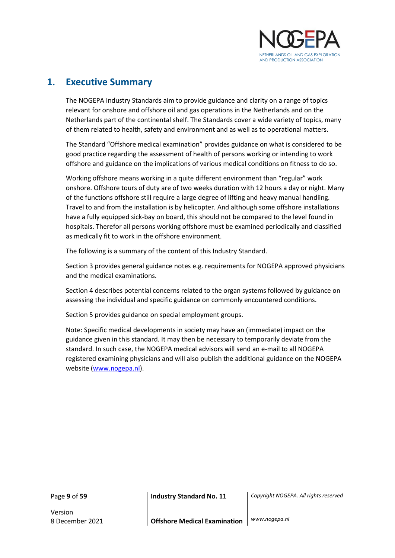

### <span id="page-8-0"></span>**1. Executive Summary**

The NOGEPA Industry Standards aim to provide guidance and clarity on a range of topics relevant for onshore and offshore oil and gas operations in the Netherlands and on the Netherlands part of the continental shelf. The Standards cover a wide variety of topics, many of them related to health, safety and environment and as well as to operational matters.

The Standard "Offshore medical examination" provides guidance on what is considered to be good practice regarding the assessment of health of persons working or intending to work offshore and guidance on the implications of various medical conditions on fitness to do so.

Working offshore means working in a quite different environment than "regular" work onshore. Offshore tours of duty are of two weeks duration with 12 hours a day or night. Many of the functions offshore still require a large degree of lifting and heavy manual handling. Travel to and from the installation is by helicopter. And although some offshore installations have a fully equipped sick-bay on board, this should not be compared to the level found in hospitals. Therefor all persons working offshore must be examined periodically and classified as medically fit to work in the offshore environment.

The following is a summary of the content of this Industry Standard.

Section 3 provides general guidance notes e.g. requirements for NOGEPA approved physicians and the medical examinations.

Section 4 describes potential concerns related to the organ systems followed by guidance on assessing the individual and specific guidance on commonly encountered conditions.

Section 5 provides guidance on special employment groups.

Note: Specific medical developments in society may have an (immediate) impact on the guidance given in this standard. It may then be necessary to temporarily deviate from the standard. In such case, the NOGEPA medical advisors will send an e-mail to all NOGEPA registered examining physicians and will also publish the additional guidance on the NOGEPA website [\(www.nogepa.nl\)](http://www.nogepa.nl/).

Version

Page **9** of **59 Industry Standard No. 11** *Copyright NOGEPA. All rights reserved*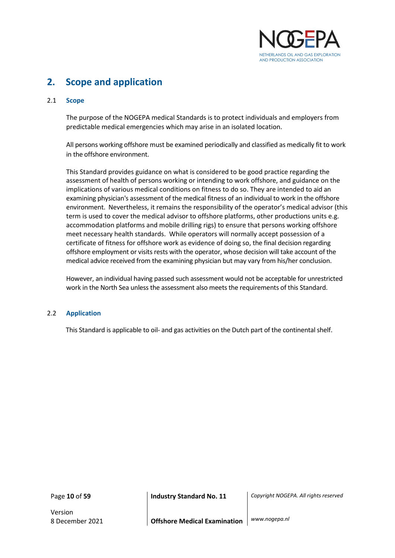

## <span id="page-9-0"></span>**2. Scope and application**

#### <span id="page-9-1"></span>2.1 **Scope**

The purpose of the NOGEPA medical Standards is to protect individuals and employers from predictable medical emergencies which may arise in an isolated location.

All persons working offshore must be examined periodically and classified as medically fit to work in the offshore environment.

This Standard provides guidance on what is considered to be good practice regarding the assessment of health of persons working or intending to work offshore, and guidance on the implications of various medical conditions on fitness to do so. They are intended to aid an examining physician's assessment of the medical fitness of an individual to work in the offshore environment. Nevertheless, it remains the responsibility of the operator's medical advisor (this term is used to cover the medical advisor to offshore platforms, other productions units e.g. accommodation platforms and mobile drilling rigs) to ensure that persons working offshore meet necessary health standards. While operators will normally accept possession of a certificate of fitness for offshore work as evidence of doing so, the final decision regarding offshore employment or visits rests with the operator, whose decision will take account of the medical advice received from the examining physician but may vary from his/her conclusion.

However, an individual having passed such assessment would not be acceptable for unrestricted work in the North Sea unless the assessment also meets the requirements of this Standard.

#### <span id="page-9-2"></span>2.2 **Application**

This Standard is applicable to oil- and gas activities on the Dutch part of the continental shelf.

Version

Page **10** of **59 Industry Standard No. 11** *Copyright NOGEPA. All rights reserved*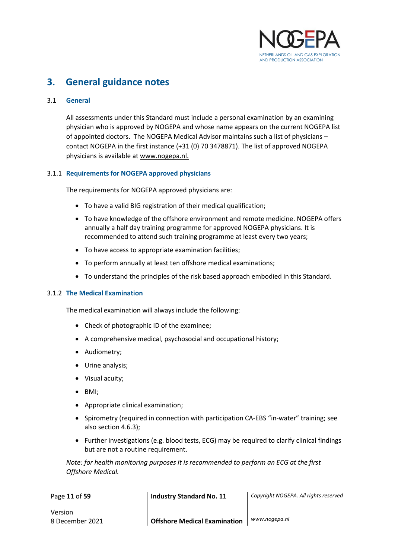

## <span id="page-10-0"></span>**3. General guidance notes**

#### <span id="page-10-1"></span>3.1 **General**

All assessments under this Standard must include a personal examination by an examining physician who is approved by NOGEPA and whose name appears on the current NOGEPA list of appointed doctors. The NOGEPA Medical Advisor maintains such a list of physicians – contact NOGEPA in the first instance (+31 (0) 70 3478871). The list of approved NOGEPA physicians is available at www.nogepa.nl.

#### <span id="page-10-2"></span>3.1.1 **Requirements for NOGEPA approved physicians**

The requirements for NOGEPA approved physicians are:

- To have a valid BIG registration of their medical qualification;
- To have knowledge of the offshore environment and remote medicine. NOGEPA offers annually a half day training programme for approved NOGEPA physicians. It is recommended to attend such training programme at least every two years;
- To have access to appropriate examination facilities;
- To perform annually at least ten offshore medical examinations;
- To understand the principles of the risk based approach embodied in this Standard.

#### <span id="page-10-3"></span>3.1.2 **The Medical Examination**

The medical examination will always include the following:

- Check of photographic ID of the examinee;
- A comprehensive medical, psychosocial and occupational history;
- Audiometry;
- Urine analysis;
- Visual acuity;
- BMI;
- Appropriate clinical examination;
- Spirometry (required in connection with participation CA-EBS "in-water" training; see also section 4.6.3);
- Further investigations (e.g. blood tests, ECG) may be required to clarify clinical findings but are not a routine requirement.

*Note: for health monitoring purposes it is recommended to perform an ECG at the first Offshore Medical.*

| Page 11 of 59 | <b>Industry Standard No. 11</b> | Copyright NOGEPA. All rights reserved |
|---------------|---------------------------------|---------------------------------------|
|               |                                 |                                       |

Version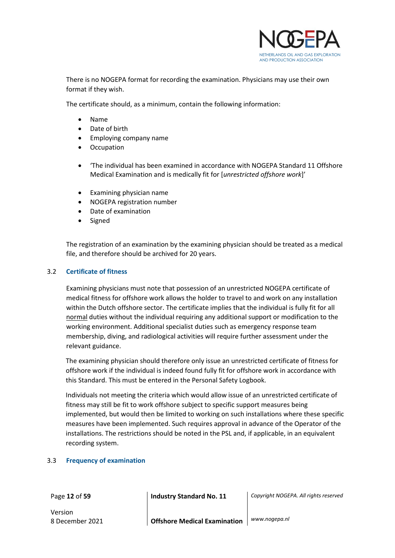

There is no NOGEPA format for recording the examination. Physicians may use their own format if they wish.

The certificate should, as a minimum, contain the following information:

- Name
- Date of birth
- Employing company name
- **Occupation**
- 'The individual has been examined in accordance with NOGEPA Standard 11 Offshore Medical Examination and is medically fit for [*unrestricted offshore work*]'
- Examining physician name
- NOGEPA registration number
- Date of examination
- Signed

The registration of an examination by the examining physician should be treated as a medical file, and therefore should be archived for 20 years.

#### <span id="page-11-0"></span>3.2 **Certificate of fitness**

Examining physicians must note that possession of an unrestricted NOGEPA certificate of medical fitness for offshore work allows the holder to travel to and work on any installation within the Dutch offshore sector. The certificate implies that the individual is fully fit for all normal duties without the individual requiring any additional support or modification to the working environment. Additional specialist duties such as emergency response team membership, diving, and radiological activities will require further assessment under the relevant guidance.

The examining physician should therefore only issue an unrestricted certificate of fitness for offshore work if the individual is indeed found fully fit for offshore work in accordance with this Standard. This must be entered in the Personal Safety Logbook.

Individuals not meeting the criteria which would allow issue of an unrestricted certificate of fitness may still be fit to work offshore subject to specific support measures being implemented, but would then be limited to working on such installations where these specific measures have been implemented. Such requires approval in advance of the Operator of the installations. The restrictions should be noted in the PSL and, if applicable, in an equivalent recording system.

#### <span id="page-11-1"></span>3.3 **Frequency of examination**

Version

Page **12** of **59 Industry Standard No. 11** *Copyright NOGEPA. All rights reserved*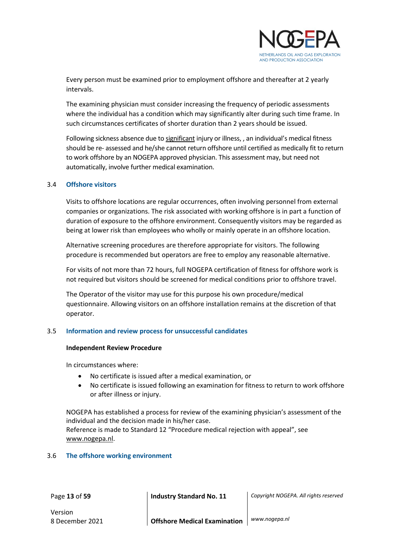

Every person must be examined prior to employment offshore and thereafter at 2 yearly intervals.

The examining physician must consider increasing the frequency of periodic assessments where the individual has a condition which may significantly alter during such time frame. In such circumstances certificates of shorter duration than 2 years should be issued.

Following sickness absence due to significant injury or illness, , an individual's medical fitness should be re- assessed and he/she cannot return offshore until certified as medically fit to return to work offshore by an NOGEPA approved physician. This assessment may, but need not automatically, involve further medical examination.

#### <span id="page-12-0"></span>3.4 **Offshore visitors**

Visits to offshore locations are regular occurrences, often involving personnel from external companies or organizations. The risk associated with working offshore is in part a function of duration of exposure to the offshore environment. Consequently visitors may be regarded as being at lower risk than employees who wholly or mainly operate in an offshore location.

Alternative screening procedures are therefore appropriate for visitors. The following procedure is recommended but operators are free to employ any reasonable alternative.

For visits of not more than 72 hours, full NOGEPA certification of fitness for offshore work is not required but visitors should be screened for medical conditions prior to offshore travel.

The Operator of the visitor may use for this purpose his own procedure/medical questionnaire. Allowing visitors on an offshore installation remains at the discretion of that operator.

#### <span id="page-12-1"></span>3.5 **Information and review process for unsuccessful candidates**

#### **Independent Review Procedure**

In circumstances where:

- No certificate is issued after a medical examination, or
- No certificate is issued following an examination for fitness to return to work offshore or after illness or injury.

NOGEPA has established a process for review of the examining physician's assessment of the individual and the decision made in his/her case.

Reference is made to Standard 12 "Procedure medical rejection with appeal", see www.nogepa.nl.

#### <span id="page-12-2"></span>3.6 **The offshore working environment**

Page **13** of **59 Industry Standard No. 11** *Copyright NOGEPA. All rights reserved*

Version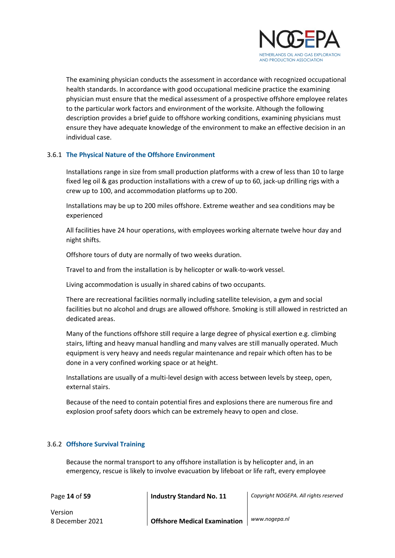

The examining physician conducts the assessment in accordance with recognized occupational health standards. In accordance with good occupational medicine practice the examining physician must ensure that the medical assessment of a prospective offshore employee relates to the particular work factors and environment of the worksite. Although the following description provides a brief guide to offshore working conditions, examining physicians must ensure they have adequate knowledge of the environment to make an effective decision in an individual case.

#### <span id="page-13-0"></span>3.6.1 **The Physical Nature of the Offshore Environment**

Installations range in size from small production platforms with a crew of less than 10 to large fixed leg oil & gas production installations with a crew of up to 60, jack-up drilling rigs with a crew up to 100, and accommodation platforms up to 200.

Installations may be up to 200 miles offshore. Extreme weather and sea conditions may be experienced

All facilities have 24 hour operations, with employees working alternate twelve hour day and night shifts.

Offshore tours of duty are normally of two weeks duration.

Travel to and from the installation is by helicopter or walk-to-work vessel.

Living accommodation is usually in shared cabins of two occupants.

There are recreational facilities normally including satellite television, a gym and social facilities but no alcohol and drugs are allowed offshore. Smoking is still allowed in restricted an dedicated areas.

Many of the functions offshore still require a large degree of physical exertion e.g. climbing stairs, lifting and heavy manual handling and many valves are still manually operated. Much equipment is very heavy and needs regular maintenance and repair which often has to be done in a very confined working space or at height.

Installations are usually of a multi-level design with access between levels by steep, open, external stairs.

Because of the need to contain potential fires and explosions there are numerous fire and explosion proof safety doors which can be extremely heavy to open and close.

#### <span id="page-13-1"></span>3.6.2 **Offshore Survival Training**

Because the normal transport to any offshore installation is by helicopter and, in an emergency, rescue is likely to involve evacuation by lifeboat or life raft, every employee

Page **14** of **59 Industry Standard No. 11** *Copyright NOGEPA. All rights reserved*

Version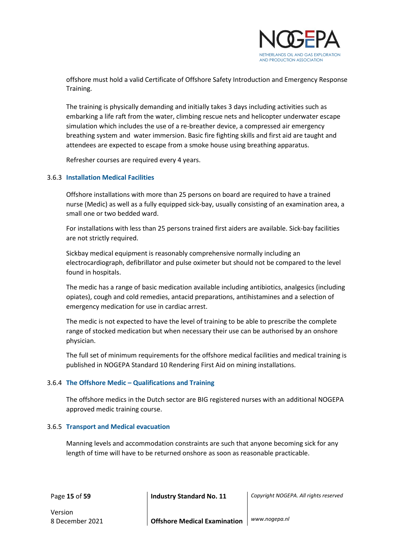

offshore must hold a valid Certificate of Offshore Safety Introduction and Emergency Response Training.

The training is physically demanding and initially takes 3 days including activities such as embarking a life raft from the water, climbing rescue nets and helicopter underwater escape simulation which includes the use of a re-breather device, a compressed air emergency breathing system and water immersion. Basic fire fighting skills and first aid are taught and attendees are expected to escape from a smoke house using breathing apparatus.

Refresher courses are required every 4 years.

#### <span id="page-14-0"></span>3.6.3 **Installation Medical Facilities**

Offshore installations with more than 25 persons on board are required to have a trained nurse (Medic) as well as a fully equipped sick-bay, usually consisting of an examination area, a small one or two bedded ward.

For installations with less than 25 persons trained first aiders are available. Sick-bay facilities are not strictly required.

Sickbay medical equipment is reasonably comprehensive normally including an electrocardiograph, defibrillator and pulse oximeter but should not be compared to the level found in hospitals.

The medic has a range of basic medication available including antibiotics, analgesics (including opiates), cough and cold remedies, antacid preparations, antihistamines and a selection of emergency medication for use in cardiac arrest.

The medic is not expected to have the level of training to be able to prescribe the complete range of stocked medication but when necessary their use can be authorised by an onshore physician.

The full set of minimum requirements for the offshore medical facilities and medical training is published in NOGEPA Standard 10 Rendering First Aid on mining installations.

#### <span id="page-14-1"></span>3.6.4 **The Offshore Medic – Qualifications and Training**

The offshore medics in the Dutch sector are BIG registered nurses with an additional NOGEPA approved medic training course.

#### <span id="page-14-2"></span>3.6.5 **Transport and Medical evacuation**

Manning levels and accommodation constraints are such that anyone becoming sick for any length of time will have to be returned onshore as soon as reasonable practicable.

Page **15** of **59 Industry Standard No. 11** *Copyright NOGEPA. All rights reserved*

Version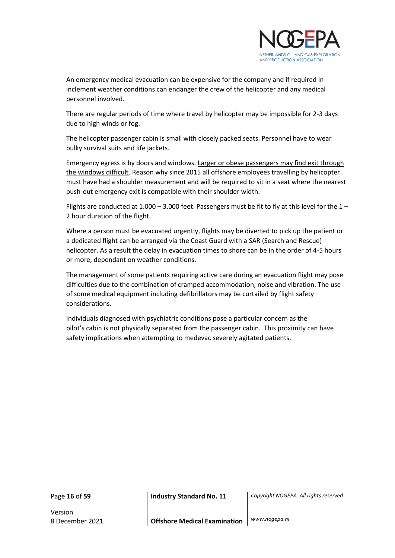

An emergency medical evacuation can be expensive for the company and if required in inclement weather conditions can endanger the crew of the helicopter and any medical personnel involved.

There are regular periods of time where travel by helicopter may be impossible for 2-3 days due to high winds or fog.

The helicopter passenger cabin is small with closely packed seats. Personnel have to wear bulky survival suits and life jackets.

Emergency egress is by doors and windows. Larger or obese passengers may find exit through the windows difficult. Reason why since 2015 all offshore employees travelling by helicopter must have had a shoulder measurement and will be required to sit in a seat where the nearest push-out emergency exit is compatible with their shoulder width.

Flights are conducted at 1.000 – 3.000 feet. Passengers must be fit to fly at this level for the  $1$  – 2 hour duration of the flight.

Where a person must be evacuated urgently, flights may be diverted to pick up the patient or a dedicated flight can be arranged via the Coast Guard with a SAR (Search and Rescue) helicopter. As a result the delay in evacuation times to shore can be in the order of 4-5 hours or more, dependant on weather conditions.

The management of some patients requiring active care during an evacuation flight may pose difficulties due to the combination of cramped accommodation, noise and vibration. The use of some medical equipment including defibrillators may be curtailed by flight safety considerations.

Individuals diagnosed with psychiatric conditions pose a particular concern as the pilot's cabin is not physically separated from the passenger cabin. This proximity can have safety implications when attempting to medevac severely agitated patients.

Version

Page **16** of **59 Industry Standard No. 11** *Copyright NOGEPA. All rights reserved*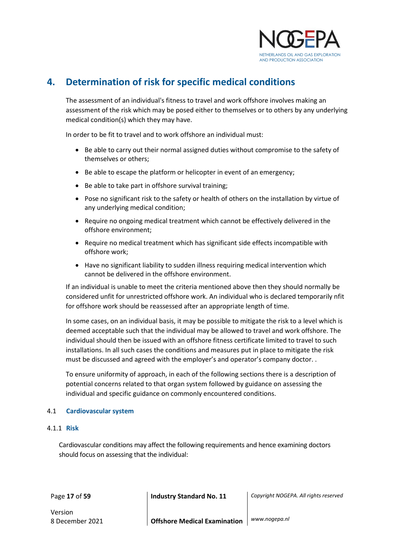

## <span id="page-16-0"></span>**4. Determination of risk for specific medical conditions**

The assessment of an individual's fitness to travel and work offshore involves making an assessment of the risk which may be posed either to themselves or to others by any underlying medical condition(s) which they may have.

In order to be fit to travel and to work offshore an individual must:

- Be able to carry out their normal assigned duties without compromise to the safety of themselves or others;
- Be able to escape the platform or helicopter in event of an emergency;
- Be able to take part in offshore survival training;
- Pose no significant risk to the safety or health of others on the installation by virtue of any underlying medical condition;
- Require no ongoing medical treatment which cannot be effectively delivered in the offshore environment;
- Require no medical treatment which has significant side effects incompatible with offshore work;
- Have no significant liability to sudden illness requiring medical intervention which cannot be delivered in the offshore environment.

If an individual is unable to meet the criteria mentioned above then they should normally be considered unfit for unrestricted offshore work. An individual who is declared temporarily nfit for offshore work should be reassessed after an appropriate length of time.

In some cases, on an individual basis, it may be possible to mitigate the risk to a level which is deemed acceptable such that the individual may be allowed to travel and work offshore. The individual should then be issued with an offshore fitness certificate limited to travel to such installations. In all such cases the conditions and measures put in place to mitigate the risk must be discussed and agreed with the employer's and operator's company doctor. .

To ensure uniformity of approach, in each of the following sections there is a description of potential concerns related to that organ system followed by guidance on assessing the individual and specific guidance on commonly encountered conditions.

#### <span id="page-16-1"></span>4.1 **Cardiovascular system**

#### <span id="page-16-2"></span>4.1.1 **Risk**

Cardiovascular conditions may affect the following requirements and hence examining doctors should focus on assessing that the individual:

Page **17** of **59 Industry Standard No. 11** *Copyright NOGEPA. All rights reserved*

Version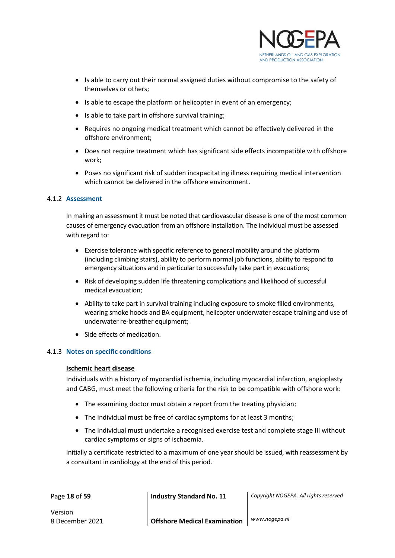

- Is able to carry out their normal assigned duties without compromise to the safety of themselves or others;
- Is able to escape the platform or helicopter in event of an emergency;
- Is able to take part in offshore survival training;
- Requires no ongoing medical treatment which cannot be effectively delivered in the offshore environment;
- Does not require treatment which has significant side effects incompatible with offshore work;
- Poses no significant risk of sudden incapacitating illness requiring medical intervention which cannot be delivered in the offshore environment.

#### <span id="page-17-0"></span>4.1.2 **Assessment**

In making an assessment it must be noted that cardiovascular disease is one of the most common causes of emergency evacuation from an offshore installation. The individual must be assessed with regard to:

- Exercise tolerance with specific reference to general mobility around the platform (including climbing stairs), ability to perform normal job functions, ability to respond to emergency situations and in particular to successfully take part in evacuations;
- Risk of developing sudden life threatening complications and likelihood of successful medical evacuation;
- Ability to take part in survival training including exposure to smoke filled environments, wearing smoke hoods and BA equipment, helicopter underwater escape training and use of underwater re-breather equipment;
- Side effects of medication.

#### <span id="page-17-1"></span>4.1.3 **Notes on specific conditions**

#### **Ischemic heart disease**

Individuals with a history of myocardial ischemia, including myocardial infarction, angioplasty and CABG, must meet the following criteria for the risk to be compatible with offshore work:

- The examining doctor must obtain a report from the treating physician;
- The individual must be free of cardiac symptoms for at least 3 months;
- The individual must undertake a recognised exercise test and complete stage III without cardiac symptoms or signs of ischaemia.

Initially a certificate restricted to a maximum of one year should be issued, with reassessment by a consultant in cardiology at the end of this period.

Page **18** of **59 Industry Standard No. 11** *Copyright NOGEPA. All rights reserved*

Version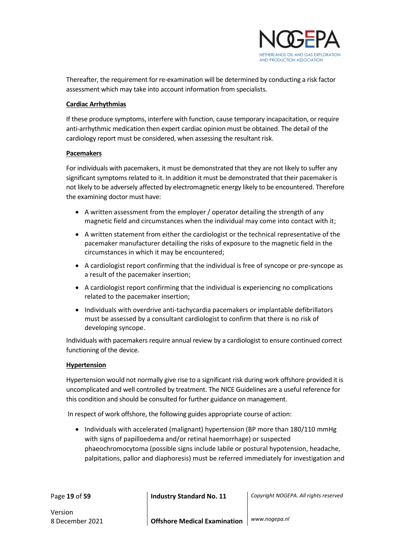

Thereafter, the requirement for re-examination will be determined by conducting a risk factor assessment which may take into account information from specialists.

#### **Cardiac Arrhythmias**

If these produce symptoms, interfere with function, cause temporary incapacitation, or require anti-arrhythmic medication then expert cardiac opinion must be obtained. The detail of the cardiology report must be considered, when assessing the resultant risk.

#### **Pacemakers**

For individuals with pacemakers, it must be demonstrated that they are not likely to suffer any significant symptoms related to it. In addition it must be demonstrated that their pacemaker is not likely to be adversely affected by electromagnetic energy likely to be encountered. Therefore the examining doctor must have:

- A written assessment from the employer / operator detailing the strength of any magnetic field and circumstances when the individual may come into contact with it;
- A written statement from either the cardiologist or the technical representative of the pacemaker manufacturer detailing the risks of exposure to the magnetic field in the circumstances in which it may be encountered;
- A cardiologist report confirming that the individual is free of syncope or pre-syncope as a result of the pacemaker insertion;
- A cardiologist report confirming that the individual is experiencing no complications related to the pacemaker insertion;
- Individuals with overdrive anti-tachycardia pacemakers or implantable defibrillators must be assessed by a consultant cardiologist to confirm that there is no risk of developing syncope.

Individuals with pacemakers require annual review by a cardiologist to ensure continued correct functioning of the device.

#### **Hypertension**

Hypertension would not normally give rise to a significant risk during work offshore provided it is uncomplicated and well controlled by treatment. The NICE Guidelines are a useful reference for this condition and should be consulted for further guidance on management.

In respect of work offshore, the following guides appropriate course of action:

• Individuals with accelerated (malignant) hypertension (BP more than 180/110 mmHg with signs of papilloedema and/or retinal haemorrhage) or suspected phaeochromocytoma (possible signs include labile or postural hypotension, headache, palpitations, pallor and diaphoresis) must be referred immediately for investigation and

Page **19** of **59 Industry Standard No. 11** *Copyright NOGEPA. All rights reserved*

Version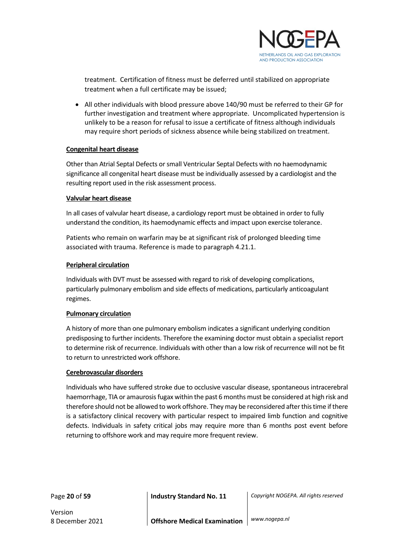

treatment. Certification of fitness must be deferred until stabilized on appropriate treatment when a full certificate may be issued;

• All other individuals with blood pressure above 140/90 must be referred to their GP for further investigation and treatment where appropriate. Uncomplicated hypertension is unlikely to be a reason for refusal to issue a certificate of fitness although individuals may require short periods of sickness absence while being stabilized on treatment.

#### **Congenital heart disease**

Other than Atrial Septal Defects or small Ventricular Septal Defects with no haemodynamic significance all congenital heart disease must be individually assessed by a cardiologist and the resulting report used in the risk assessment process.

#### **Valvular heart disease**

In all cases of valvular heart disease, a cardiology report must be obtained in order to fully understand the condition, its haemodynamic effects and impact upon exercise tolerance.

Patients who remain on warfarin may be at significant risk of prolonged bleeding time associated with trauma. Reference is made to paragraph 4.21.1.

#### **Peripheral circulation**

Individuals with DVT must be assessed with regard to risk of developing complications, particularly pulmonary embolism and side effects of medications, particularly anticoagulant regimes.

#### **Pulmonary circulation**

A history of more than one pulmonary embolism indicates a significant underlying condition predisposing to further incidents. Therefore the examining doctor must obtain a specialist report to determine risk of recurrence. Individuals with other than a low risk of recurrence will not be fit to return to unrestricted work offshore.

#### **Cerebrovascular disorders**

Individuals who have suffered stroke due to occlusive vascular disease, spontaneous intracerebral haemorrhage, TIA or amaurosis fugax within the past 6 months must be considered at high risk and therefore should not be allowed to work offshore. They may be reconsidered after this time if there is a satisfactory clinical recovery with particular respect to impaired limb function and cognitive defects. Individuals in safety critical jobs may require more than 6 months post event before returning to offshore work and may require more frequent review.

Version

Page **20** of **59 Industry Standard No. 11** *Copyright NOGEPA. All rights reserved*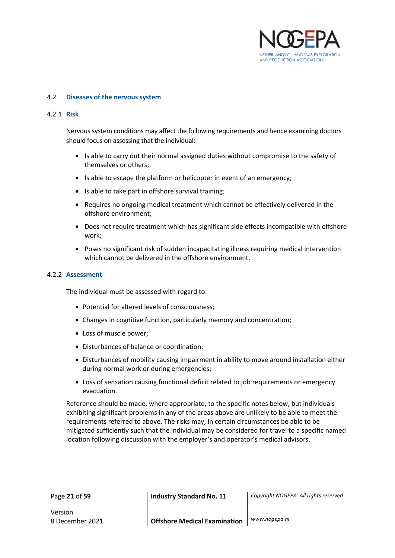

#### <span id="page-20-0"></span>4.2 **Diseases of the nervous system**

#### <span id="page-20-1"></span>4.2.1 **Risk**

Nervous system conditions may affect the following requirements and hence examining doctors should focus on assessing that the individual:

- Is able to carry out their normal assigned duties without compromise to the safety of themselves or others;
- Is able to escape the platform or helicopter in event of an emergency;
- Is able to take part in offshore survival training;
- Requires no ongoing medical treatment which cannot be effectively delivered in the offshore environment;
- Does not require treatment which has significant side effects incompatible with offshore work;
- Poses no significant risk of sudden incapacitating illness requiring medical intervention which cannot be delivered in the offshore environment.

#### <span id="page-20-2"></span>4.2.2 **Assessment**

The individual must be assessed with regard to:

- Potential for altered levels of consciousness;
- Changes in cognitive function, particularly memory and concentration;
- Loss of muscle power;
- Disturbances of balance or coordination;
- Disturbances of mobility causing impairment in ability to move around installation either during normal work or during emergencies;
- Loss of sensation causing functional deficit related to job requirements or emergency evacuation.

Reference should be made, where appropriate, to the specific notes below, but individuals exhibiting significant problems in any of the areas above are unlikely to be able to meet the requirements referred to above. The risks may, in certain circumstances be able to be mitigated sufficiently such that the individual may be considered for travel to a specific named location following discussion with the employer's and operator's medical advisors.

Version

Page **21** of **59 Industry Standard No. 11** *Copyright NOGEPA. All rights reserved*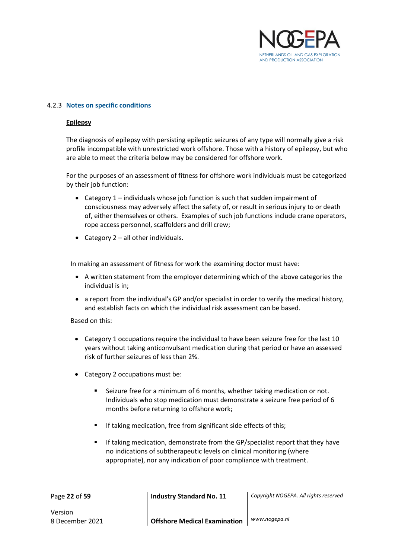

#### <span id="page-21-0"></span>4.2.3 **Notes on specific conditions**

#### **Epilepsy**

The diagnosis of epilepsy with persisting epileptic seizures of any type will normally give a risk profile incompatible with unrestricted work offshore. Those with a history of epilepsy, but who are able to meet the criteria below may be considered for offshore work.

For the purposes of an assessment of fitness for offshore work individuals must be categorized by their job function:

- Category 1 individuals whose job function is such that sudden impairment of consciousness may adversely affect the safety of, or result in serious injury to or death of, either themselves or others. Examples of such job functions include crane operators, rope access personnel, scaffolders and drill crew;
- Category 2 all other individuals.

In making an assessment of fitness for work the examining doctor must have:

- A written statement from the employer determining which of the above categories the individual is in;
- a report from the individual's GP and/or specialist in order to verify the medical history, and establish facts on which the individual risk assessment can be based.

Based on this:

- Category 1 occupations require the individual to have been seizure free for the last 10 years without taking anticonvulsant medication during that period or have an assessed risk of further seizures of less than 2%.
- Category 2 occupations must be:
	- Seizure free for a minimum of 6 months, whether taking medication or not. Individuals who stop medication must demonstrate a seizure free period of 6 months before returning to offshore work;
	- If taking medication, free from significant side effects of this;
	- If taking medication, demonstrate from the GP/specialist report that they have no indications of subtherapeutic levels on clinical monitoring (where appropriate), nor any indication of poor compliance with treatment.

Page **22** of **59 Industry Standard No. 11** *Copyright NOGEPA. All rights reserved*

Version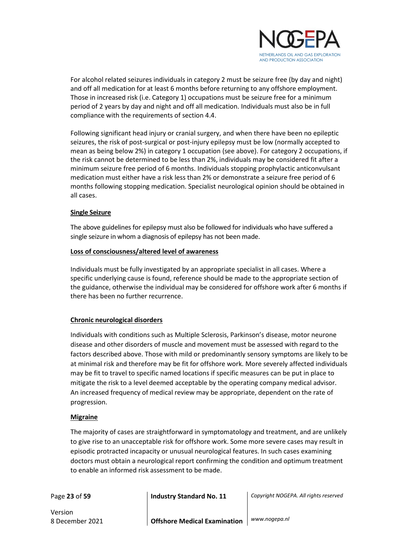

For alcohol related seizures individuals in category 2 must be seizure free (by day and night) and off all medication for at least 6 months before returning to any offshore employment. Those in increased risk (i.e. Category 1) occupations must be seizure free for a minimum period of 2 years by day and night and off all medication. Individuals must also be in full compliance with the requirements of section 4.4.

Following significant head injury or cranial surgery, and when there have been no epileptic seizures, the risk of post-surgical or post-injury epilepsy must be low (normally accepted to mean as being below 2%) in category 1 occupation (see above). For category 2 occupations, if the risk cannot be determined to be less than 2%, individuals may be considered fit after a minimum seizure free period of 6 months. Individuals stopping prophylactic anticonvulsant medication must either have a risk less than 2% or demonstrate a seizure free period of 6 months following stopping medication. Specialist neurological opinion should be obtained in all cases.

#### **Single Seizure**

The above guidelines for epilepsy must also be followed for individuals who have suffered a single seizure in whom a diagnosis of epilepsy has not been made.

#### **Loss of consciousness/altered level of awareness**

Individuals must be fully investigated by an appropriate specialist in all cases. Where a specific underlying cause is found, reference should be made to the appropriate section of the guidance, otherwise the individual may be considered for offshore work after 6 months if there has been no further recurrence.

#### **Chronic neurological disorders**

Individuals with conditions such as Multiple Sclerosis, Parkinson's disease, motor neurone disease and other disorders of muscle and movement must be assessed with regard to the factors described above. Those with mild or predominantly sensory symptoms are likely to be at minimal risk and therefore may be fit for offshore work. More severely affected individuals may be fit to travel to specific named locations if specific measures can be put in place to mitigate the risk to a level deemed acceptable by the operating company medical advisor. An increased frequency of medical review may be appropriate, dependent on the rate of progression.

#### **Migraine**

The majority of cases are straightforward in symptomatology and treatment, and are unlikely to give rise to an unacceptable risk for offshore work. Some more severe cases may result in episodic protracted incapacity or unusual neurological features. In such cases examining doctors must obtain a neurological report confirming the condition and optimum treatment to enable an informed risk assessment to be made.

Version

Page **23** of **59 Industry Standard No. 11** *Copyright NOGEPA. All rights reserved*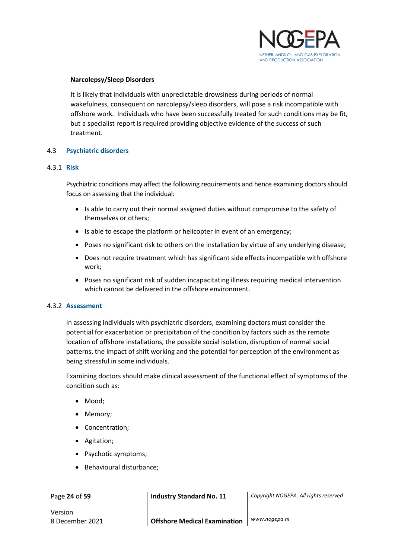

#### **Narcolepsy/Sleep Disorders**

It is likely that individuals with unpredictable drowsiness during periods of normal wakefulness, consequent on narcolepsy/sleep disorders, will pose a risk incompatible with offshore work. Individuals who have been successfully treated for such conditions may be fit, but a specialist report is required providing objective evidence of the success of such treatment.

#### <span id="page-23-0"></span>4.3 **Psychiatric disorders**

#### <span id="page-23-1"></span>4.3.1 **Risk**

Psychiatric conditions may affect the following requirements and hence examining doctors should focus on assessing that the individual:

- Is able to carry out their normal assigned duties without compromise to the safety of themselves or others;
- Is able to escape the platform or helicopter in event of an emergency;
- Poses no significant risk to others on the installation by virtue of any underlying disease;
- Does not require treatment which has significant side effects incompatible with offshore work;
- Poses no significant risk of sudden incapacitating illness requiring medical intervention which cannot be delivered in the offshore environment.

#### <span id="page-23-2"></span>4.3.2 **Assessment**

In assessing individuals with psychiatric disorders, examining doctors must consider the potential for exacerbation or precipitation of the condition by factors such as the remote location of offshore installations, the possible social isolation, disruption of normal social patterns, the impact of shift working and the potential for perception of the environment as being stressful in some individuals.

Examining doctors should make clinical assessment of the functional effect of symptoms of the condition such as:

- Mood;
- Memory;
- Concentration;
- Agitation;
- Psychotic symptoms;
- Behavioural disturbance;

Page **24** of **59 Industry Standard No. 11** *Copyright NOGEPA. All rights reserved*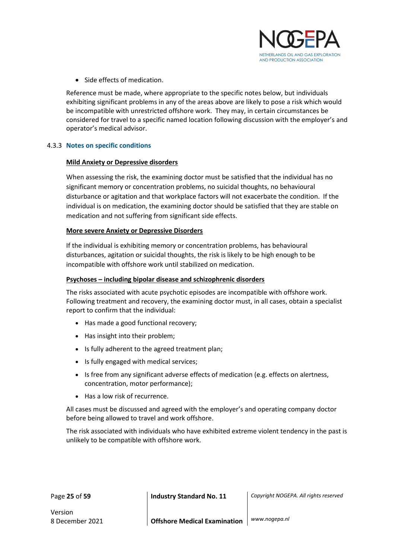

• Side effects of medication.

Reference must be made, where appropriate to the specific notes below, but individuals exhibiting significant problems in any of the areas above are likely to pose a risk which would be incompatible with unrestricted offshore work. They may, in certain circumstances be considered for travel to a specific named location following discussion with the employer's and operator's medical advisor.

#### <span id="page-24-0"></span>4.3.3 **Notes on specific conditions**

#### **Mild Anxiety or Depressive disorders**

When assessing the risk, the examining doctor must be satisfied that the individual has no significant memory or concentration problems, no suicidal thoughts, no behavioural disturbance or agitation and that workplace factors will not exacerbate the condition. If the individual is on medication, the examining doctor should be satisfied that they are stable on medication and not suffering from significant side effects.

#### **More severe Anxiety or Depressive Disorders**

If the individual is exhibiting memory or concentration problems, has behavioural disturbances, agitation or suicidal thoughts, the risk is likely to be high enough to be incompatible with offshore work until stabilized on medication.

#### **Psychoses – including bipolar disease and schizophrenic disorders**

The risks associated with acute psychotic episodes are incompatible with offshore work. Following treatment and recovery, the examining doctor must, in all cases, obtain a specialist report to confirm that the individual:

- Has made a good functional recovery;
- Has insight into their problem;
- Is fully adherent to the agreed treatment plan;
- Is fully engaged with medical services;
- Is free from any significant adverse effects of medication (e.g. effects on alertness, concentration, motor performance);
- Has a low risk of recurrence.

All cases must be discussed and agreed with the employer's and operating company doctor before being allowed to travel and work offshore.

The risk associated with individuals who have exhibited extreme violent tendency in the past is unlikely to be compatible with offshore work.

|  | Page 25 of 59 |  |
|--|---------------|--|
|  |               |  |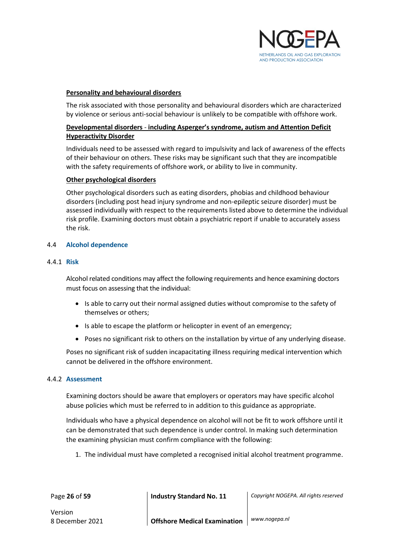

#### **Personality and behavioural disorders**

The risk associated with those personality and behavioural disorders which are characterized by violence or serious anti-social behaviour is unlikely to be compatible with offshore work.

#### **Developmental disorders** - **including Asperger's syndrome, autism and Attention Deficit Hyperactivity Disorder**

Individuals need to be assessed with regard to impulsivity and lack of awareness of the effects of their behaviour on others. These risks may be significant such that they are incompatible with the safety requirements of offshore work, or ability to live in community.

#### **Other psychological disorders**

Other psychological disorders such as eating disorders, phobias and childhood behaviour disorders (including post head injury syndrome and non-epileptic seizure disorder) must be assessed individually with respect to the requirements listed above to determine the individual risk profile. Examining doctors must obtain a psychiatric report if unable to accurately assess the risk.

#### <span id="page-25-0"></span>4.4 **Alcohol dependence**

#### <span id="page-25-1"></span>4.4.1 **Risk**

Alcohol related conditions may affect the following requirements and hence examining doctors must focus on assessing that the individual:

- Is able to carry out their normal assigned duties without compromise to the safety of themselves or others;
- Is able to escape the platform or helicopter in event of an emergency;
- Poses no significant risk to others on the installation by virtue of any underlying disease.

Poses no significant risk of sudden incapacitating illness requiring medical intervention which cannot be delivered in the offshore environment.

#### <span id="page-25-2"></span>4.4.2 **Assessment**

Examining doctors should be aware that employers or operators may have specific alcohol abuse policies which must be referred to in addition to this guidance as appropriate.

Individuals who have a physical dependence on alcohol will not be fit to work offshore until it can be demonstrated that such dependence is under control. In making such determination the examining physician must confirm compliance with the following:

1. The individual must have completed a recognised initial alcohol treatment programme.

Page **26** of **59 Industry Standard No. 11** *Copyright NOGEPA. All rights reserved*

Version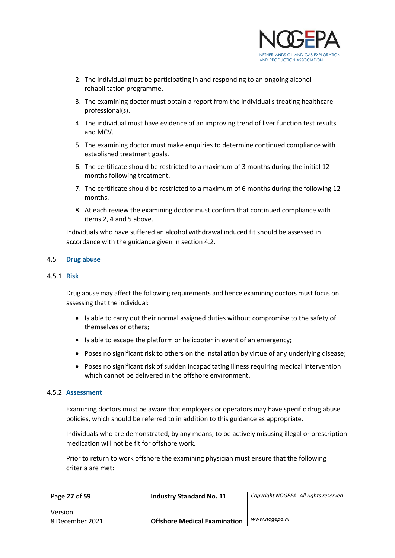

- 2. The individual must be participating in and responding to an ongoing alcohol rehabilitation programme.
- 3. The examining doctor must obtain a report from the individual's treating healthcare professional(s).
- 4. The individual must have evidence of an improving trend of liver function test results and MCV.
- 5. The examining doctor must make enquiries to determine continued compliance with established treatment goals.
- 6. The certificate should be restricted to a maximum of 3 months during the initial 12 months following treatment.
- 7. The certificate should be restricted to a maximum of 6 months during the following 12 months.
- 8. At each review the examining doctor must confirm that continued compliance with items 2, 4 and 5 above.

Individuals who have suffered an alcohol withdrawal induced fit should be assessed in accordance with the guidance given in section 4.2.

#### <span id="page-26-0"></span>4.5 **Drug abuse**

#### <span id="page-26-1"></span>4.5.1 **Risk**

Drug abuse may affect the following requirements and hence examining doctors must focus on assessing that the individual:

- Is able to carry out their normal assigned duties without compromise to the safety of themselves or others;
- Is able to escape the platform or helicopter in event of an emergency;
- Poses no significant risk to others on the installation by virtue of any underlying disease;
- Poses no significant risk of sudden incapacitating illness requiring medical intervention which cannot be delivered in the offshore environment.

#### <span id="page-26-2"></span>4.5.2 **Assessment**

Examining doctors must be aware that employers or operators may have specific drug abuse policies, which should be referred to in addition to this guidance as appropriate.

Individuals who are demonstrated, by any means, to be actively misusing illegal or prescription medication will not be fit for offshore work.

Prior to return to work offshore the examining physician must ensure that the following criteria are met:

Page **27** of **59 Industry Standard No. 11** *Copyright NOGEPA. All rights reserved*

Version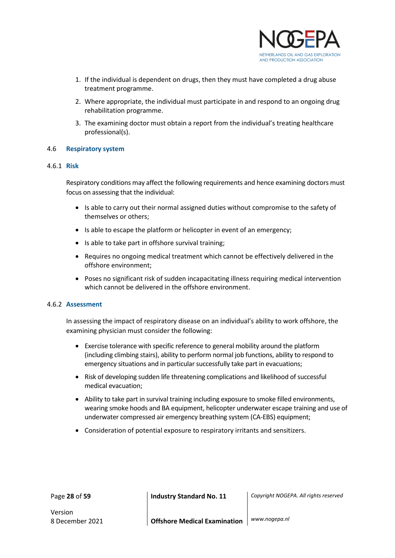

- 1. If the individual is dependent on drugs, then they must have completed a drug abuse treatment programme.
- 2. Where appropriate, the individual must participate in and respond to an ongoing drug rehabilitation programme.
- 3. The examining doctor must obtain a report from the individual's treating healthcare professional(s).

#### <span id="page-27-0"></span>4.6 **Respiratory system**

#### <span id="page-27-1"></span>4.6.1 **Risk**

Respiratory conditions may affect the following requirements and hence examining doctors must focus on assessing that the individual:

- Is able to carry out their normal assigned duties without compromise to the safety of themselves or others;
- Is able to escape the platform or helicopter in event of an emergency;
- Is able to take part in offshore survival training;
- Requires no ongoing medical treatment which cannot be effectively delivered in the offshore environment;
- Poses no significant risk of sudden incapacitating illness requiring medical intervention which cannot be delivered in the offshore environment.

#### <span id="page-27-2"></span>4.6.2 **Assessment**

In assessing the impact of respiratory disease on an individual's ability to work offshore, the examining physician must consider the following:

- Exercise tolerance with specific reference to general mobility around the platform (including climbing stairs), ability to perform normal job functions, ability to respond to emergency situations and in particular successfully take part in evacuations;
- Risk of developing sudden life threatening complications and likelihood of successful medical evacuation;
- Ability to take part in survival training including exposure to smoke filled environments, wearing smoke hoods and BA equipment, helicopter underwater escape training and use of underwater compressed air emergency breathing system (CA-EBS) equipment;
- Consideration of potential exposure to respiratory irritants and sensitizers.

Page **28** of **59 Industry Standard No. 11** *Copyright NOGEPA. All rights reserved*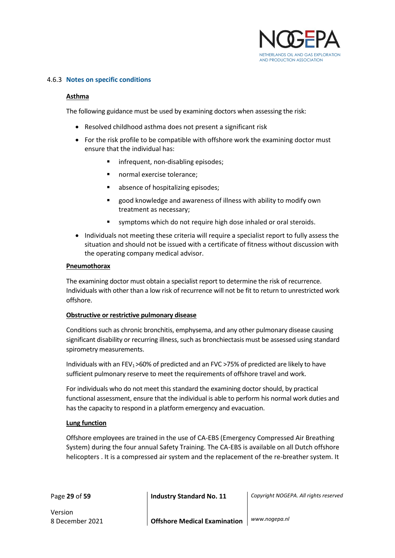

#### <span id="page-28-0"></span>4.6.3 **Notes on specific conditions**

#### **Asthma**

The following guidance must be used by examining doctors when assessing the risk:

- Resolved childhood asthma does not present a significant risk
- For the risk profile to be compatible with offshore work the examining doctor must ensure that the individual has:
	- **■** infrequent, non-disabling episodes;
	- normal exercise tolerance:
	- absence of hospitalizing episodes:
	- good knowledge and awareness of illness with ability to modify own treatment as necessary;
	- symptoms which do not require high dose inhaled or oral steroids.
- Individuals not meeting these criteria will require a specialist report to fully assess the situation and should not be issued with a certificate of fitness without discussion with the operating company medical advisor.

#### **Pneumothorax**

The examining doctor must obtain a specialist report to determine the risk of recurrence. Individuals with other than a low risk of recurrence will not be fit to return to unrestricted work offshore.

#### **Obstructive or restrictive pulmonary disease**

Conditions such as chronic bronchitis, emphysema, and any other pulmonary disease causing significant disability or recurring illness, such as bronchiectasis must be assessed using standard spirometry measurements.

Individuals with an FEV1 >60% of predicted and an FVC >75% of predicted are likely to have sufficient pulmonary reserve to meet the requirements of offshore travel and work.

For individuals who do not meet this standard the examining doctor should, by practical functional assessment, ensure that the individual is able to perform his normal work duties and has the capacity to respond in a platform emergency and evacuation.

#### **Lung function**

Offshore employees are trained in the use of CA-EBS (Emergency Compressed Air Breathing System) during the four annual Safety Training. The CA-EBS is available on all Dutch offshore helicopters . It is a compressed air system and the replacement of the re-breather system. It

Page **29** of **59 Industry Standard No. 11** *Copyright NOGEPA. All rights reserved*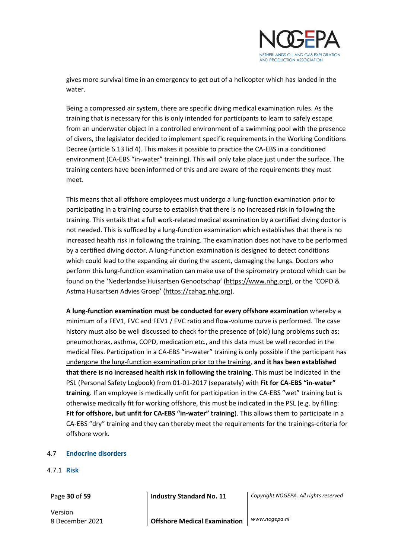

gives more survival time in an emergency to get out of a helicopter which has landed in the water.

Being a compressed air system, there are specific diving medical examination rules. As the training that is necessary for this is only intended for participants to learn to safely escape from an underwater object in a controlled environment of a swimming pool with the presence of divers, the legislator decided to implement specific requirements in the Working Conditions Decree (article 6.13 lid 4). This makes it possible to practice the CA-EBS in a conditioned environment (CA-EBS "in-water" training). This will only take place just under the surface. The training centers have been informed of this and are aware of the requirements they must meet.

This means that all offshore employees must undergo a lung-function examination prior to participating in a training course to establish that there is no increased risk in following the training. This entails that a full work-related medical examination by a certified diving doctor is not needed. This is sufficed by a lung-function examination which establishes that there is no increased health risk in following the training. The examination does not have to be performed by a certified diving doctor. A lung-function examination is designed to detect conditions which could lead to the expanding air during the ascent, damaging the lungs. Doctors who perform this lung-function examination can make use of the spirometry protocol which can be found on the 'Nederlandse Huisartsen Genootschap' (https://www.nhg.org), or the 'COPD & Astma Huisartsen Advies Groep' (https://cahag.nhg.org).

**A lung-function examination must be conducted for every offshore examination** whereby a minimum of a FEV1, FVC and FEV1 / FVC ratio and flow-volume curve is performed. The case history must also be well discussed to check for the presence of (old) lung problems such as: pneumothorax, asthma, COPD, medication etc., and this data must be well recorded in the medical files. Participation in a CA-EBS "in-water" training is only possible if the participant has undergone the lung-function examination prior to the training, **and it has been established that there is no increased health risk in following the training**. This must be indicated in the PSL (Personal Safety Logbook) from 01-01-2017 (separately) with **Fit for CA-EBS "in-water" training**. If an employee is medically unfit for participation in the CA-EBS "wet" training but is otherwise medically fit for working offshore, this must be indicated in the PSL (e.g. by filling: **Fit for offshore, but unfit for CA-EBS "in-water" training**). This allows them to participate in a CA-EBS "dry" training and they can thereby meet the requirements for the trainings-criteria for offshore work.

#### <span id="page-29-0"></span>4.7 **Endocrine disorders**

#### <span id="page-29-1"></span>4.7.1 **Risk**

Version

Page **30** of **59 Industry Standard No. 11** *Copyright NOGEPA. All rights reserved*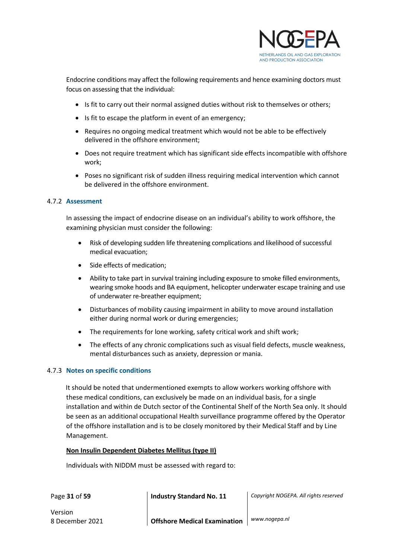

Endocrine conditions may affect the following requirements and hence examining doctors must focus on assessing that the individual:

- Is fit to carry out their normal assigned duties without risk to themselves or others;
- Is fit to escape the platform in event of an emergency;
- Requires no ongoing medical treatment which would not be able to be effectively delivered in the offshore environment;
- Does not require treatment which has significant side effects incompatible with offshore work;
- Poses no significant risk of sudden illness requiring medical intervention which cannot be delivered in the offshore environment.

#### <span id="page-30-0"></span>4.7.2 **Assessment**

In assessing the impact of endocrine disease on an individual's ability to work offshore, the examining physician must consider the following:

- Risk of developing sudden life threatening complications and likelihood of successful medical evacuation;
- Side effects of medication;
- Ability to take part in survival training including exposure to smoke filled environments, wearing smoke hoods and BA equipment, helicopter underwater escape training and use of underwater re-breather equipment;
- Disturbances of mobility causing impairment in ability to move around installation either during normal work or during emergencies;
- The requirements for lone working, safety critical work and shift work;
- The effects of any chronic complications such as visual field defects, muscle weakness, mental disturbances such as anxiety, depression or mania.

#### <span id="page-30-1"></span>4.7.3 **Notes on specific conditions**

It should be noted that undermentioned exempts to allow workers working offshore with these medical conditions, can exclusively be made on an individual basis, for a single installation and within de Dutch sector of the Continental Shelf of the North Sea only. It should be seen as an additional occupational Health surveillance programme offered by the Operator of the offshore installation and is to be closely monitored by their Medical Staff and by Line Management.

#### **Non Insulin Dependent Diabetes Mellitus (type II)**

Individuals with NIDDM must be assessed with regard to:

Page **31** of **59 Industry Standard No. 11** *Copyright NOGEPA. All rights reserved*

Version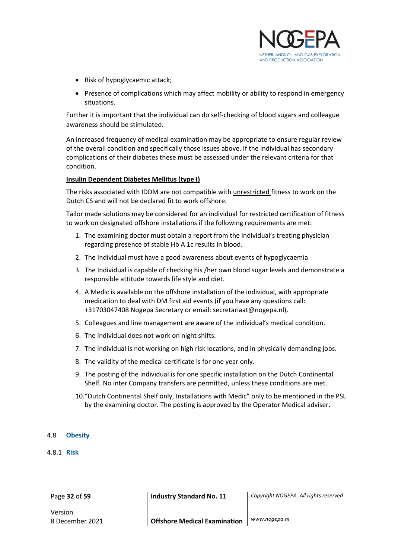

- Risk of hypoglycaemic attack;
- Presence of complications which may affect mobility or ability to respond in emergency situations.

Further it is important that the individual can do self-checking of blood sugars and colleague awareness should be stimulated.

An increased frequency of medical examination may be appropriate to ensure regular review of the overall condition and specifically those issues above. If the individual has secondary complications of their diabetes these must be assessed under the relevant criteria for that condition.

#### **Insulin Dependent Diabetes Mellitus (type I)**

The risks associated with IDDM are not compatible with unrestricted fitness to work on the Dutch CS and will not be declared fit to work offshore.

Tailor made solutions may be considered for an individual for restricted certification of fitness to work on designated offshore installations if the following requirements are met:

- 1. The examining doctor must obtain a report from the individual's treating physician regarding presence of stable Hb A 1c results in blood.
- 2. The Individual must have a good awareness about events of hypoglycaemia
- 3. The Individual is capable of checking his /her own blood sugar levels and demonstrate a responsible attitude towards life style and diet.
- 4. A Medic is available on the offshore installation of the individual, with appropriate medication to deal with DM first aid events (if you have any questions call: +31703047408 Nogepa Secretary or email: secretariaat@nogepa.nl).
- 5. Colleagues and line management are aware of the individual's medical condition.
- 6. The individual does not work on night shifts.
- 7. The individual is not working on high risk locations, and in physically demanding jobs.
- 8. The validity of the medical certificate is for one year only.
- 9. The posting of the individual is for one specific installation on the Dutch Continental Shelf. No inter Company transfers are permitted, unless these conditions are met.
- 10."Dutch Continental Shelf only, Installations with Medic" only to be mentioned in the PSL by the examining doctor. The posting is approved by the Operator Medical adviser.

#### <span id="page-31-0"></span>4.8 **Obesity**

#### <span id="page-31-1"></span>4.8.1 **Risk**

Version

Page **32** of **59 Industry Standard No. 11** *Copyright NOGEPA. All rights reserved*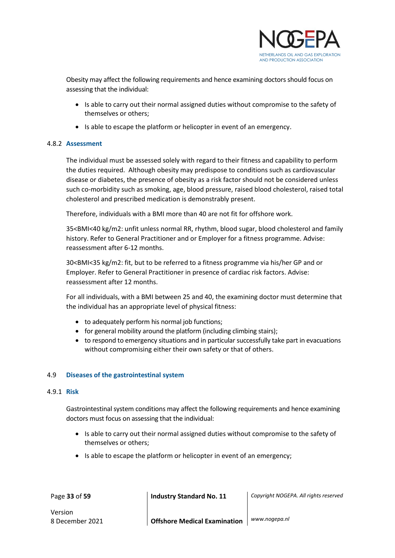

Obesity may affect the following requirements and hence examining doctors should focus on assessing that the individual:

- Is able to carry out their normal assigned duties without compromise to the safety of themselves or others;
- Is able to escape the platform or helicopter in event of an emergency.

#### <span id="page-32-0"></span>4.8.2 **Assessment**

The individual must be assessed solely with regard to their fitness and capability to perform the duties required. Although obesity may predispose to conditions such as cardiovascular disease or diabetes, the presence of obesity as a risk factor should not be considered unless such co-morbidity such as smoking, age, blood pressure, raised blood cholesterol, raised total cholesterol and prescribed medication is demonstrably present.

Therefore, individuals with a BMI more than 40 are not fit for offshore work.

35<BMI<40 kg/m2: unfit unless normal RR, rhythm, blood sugar, blood cholesterol and family history. Refer to General Practitioner and or Employer for a fitness programme. Advise: reassessment after 6-12 months.

30<BMI<35 kg/m2: fit, but to be referred to a fitness programme via his/her GP and or Employer. Refer to General Practitioner in presence of cardiac risk factors. Advise: reassessment after 12 months.

For all individuals, with a BMI between 25 and 40, the examining doctor must determine that the individual has an appropriate level of physical fitness:

- to adequately perform his normal job functions;
- for general mobility around the platform (including climbing stairs);
- to respond to emergency situations and in particular successfully take part in evacuations without compromising either their own safety or that of others.

#### <span id="page-32-1"></span>4.9 **Diseases of the gastrointestinal system**

#### <span id="page-32-2"></span>4.9.1 **Risk**

Gastrointestinal system conditions may affect the following requirements and hence examining doctors must focus on assessing that the individual:

- Is able to carry out their normal assigned duties without compromise to the safety of themselves or others;
- Is able to escape the platform or helicopter in event of an emergency;

Page **33** of **59 Industry Standard No. 11** *Copyright NOGEPA. All rights reserved*

Version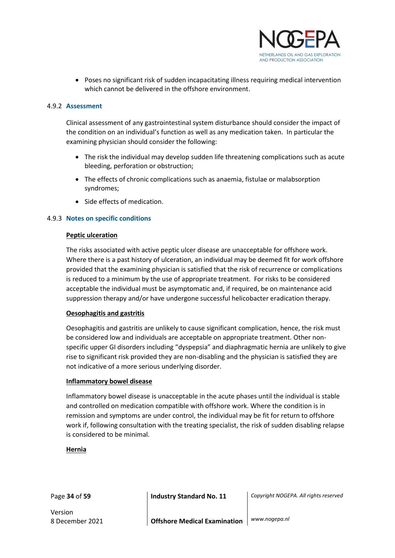

• Poses no significant risk of sudden incapacitating illness requiring medical intervention which cannot be delivered in the offshore environment.

#### <span id="page-33-0"></span>4.9.2 **Assessment**

Clinical assessment of any gastrointestinal system disturbance should consider the impact of the condition on an individual's function as well as any medication taken. In particular the examining physician should consider the following:

- The risk the individual may develop sudden life threatening complications such as acute bleeding, perforation or obstruction;
- The effects of chronic complications such as anaemia, fistulae or malabsorption syndromes;
- Side effects of medication.

#### <span id="page-33-1"></span>4.9.3 **Notes on specific conditions**

#### **Peptic ulceration**

The risks associated with active peptic ulcer disease are unacceptable for offshore work. Where there is a past history of ulceration, an individual may be deemed fit for work offshore provided that the examining physician is satisfied that the risk of recurrence or complications is reduced to a minimum by the use of appropriate treatment. For risks to be considered acceptable the individual must be asymptomatic and, if required, be on maintenance acid suppression therapy and/or have undergone successful helicobacter eradication therapy.

#### **Oesophagitis and gastritis**

Oesophagitis and gastritis are unlikely to cause significant complication, hence, the risk must be considered low and individuals are acceptable on appropriate treatment. Other nonspecific upper GI disorders including "dyspepsia" and diaphragmatic hernia are unlikely to give rise to significant risk provided they are non-disabling and the physician is satisfied they are not indicative of a more serious underlying disorder.

#### **Inflammatory bowel disease**

Inflammatory bowel disease is unacceptable in the acute phases until the individual is stable and controlled on medication compatible with offshore work. Where the condition is in remission and symptoms are under control, the individual may be fit for return to offshore work if, following consultation with the treating specialist, the risk of sudden disabling relapse is considered to be minimal.

#### **Hernia**

Version

Page **34** of **59 Industry Standard No. 11** *Copyright NOGEPA. All rights reserved*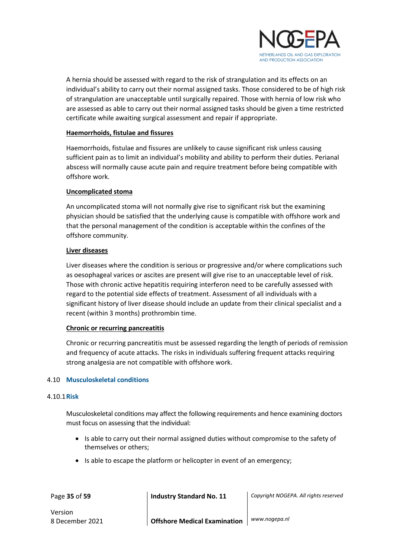

A hernia should be assessed with regard to the risk of strangulation and its effects on an individual's ability to carry out their normal assigned tasks. Those considered to be of high risk of strangulation are unacceptable until surgically repaired. Those with hernia of low risk who are assessed as able to carry out their normal assigned tasks should be given a time restricted certificate while awaiting surgical assessment and repair if appropriate.

#### **Haemorrhoids, fistulae and fissures**

Haemorrhoids, fistulae and fissures are unlikely to cause significant risk unless causing sufficient pain as to limit an individual's mobility and ability to perform their duties. Perianal abscess will normally cause acute pain and require treatment before being compatible with offshore work.

#### **Uncomplicated stoma**

An uncomplicated stoma will not normally give rise to significant risk but the examining physician should be satisfied that the underlying cause is compatible with offshore work and that the personal management of the condition is acceptable within the confines of the offshore community.

#### **Liver diseases**

Liver diseases where the condition is serious or progressive and/or where complications such as oesophageal varices or ascites are present will give rise to an unacceptable level of risk. Those with chronic active hepatitis requiring interferon need to be carefully assessed with regard to the potential side effects of treatment. Assessment of all individuals with a significant history of liver disease should include an update from their clinical specialist and a recent (within 3 months) prothrombin time.

#### **Chronic or recurring pancreatitis**

Chronic or recurring pancreatitis must be assessed regarding the length of periods of remission and frequency of acute attacks. The risks in individuals suffering frequent attacks requiring strong analgesia are not compatible with offshore work.

#### <span id="page-34-0"></span>4.10 **Musculoskeletal conditions**

#### <span id="page-34-1"></span>4.10.1**Risk**

Musculoskeletal conditions may affect the following requirements and hence examining doctors must focus on assessing that the individual:

- Is able to carry out their normal assigned duties without compromise to the safety of themselves or others;
- Is able to escape the platform or helicopter in event of an emergency;

Page **35** of **59 Industry Standard No. 11** *Copyright NOGEPA. All rights reserved*

Version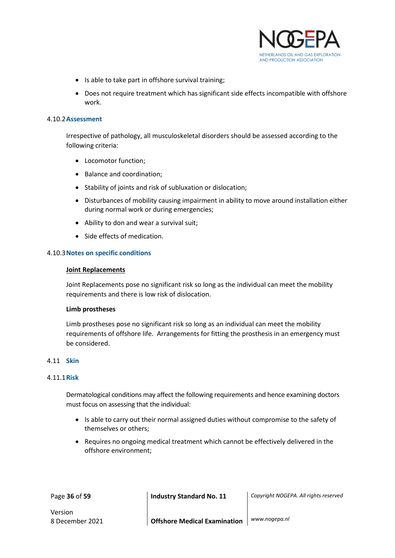

- Is able to take part in offshore survival training;
- Does not require treatment which has significant side effects incompatible with offshore work.

#### <span id="page-35-0"></span>4.10.2**Assessment**

Irrespective of pathology, all musculoskeletal disorders should be assessed according to the following criteria:

- Locomotor function;
- Balance and coordination;
- Stability of joints and risk of subluxation or dislocation;
- Disturbances of mobility causing impairment in ability to move around installation either during normal work or during emergencies;
- Ability to don and wear a survival suit;
- Side effects of medication.

#### <span id="page-35-1"></span>4.10.3**Notes on specific conditions**

#### **Joint Replacements**

Joint Replacements pose no significant risk so long as the individual can meet the mobility requirements and there is low risk of dislocation.

#### **Limb prostheses**

Limb prostheses pose no significant risk so long as an individual can meet the mobility requirements of offshore life. Arrangements for fitting the prosthesis in an emergency must be considered.

#### <span id="page-35-2"></span>4.11 **Skin**

#### <span id="page-35-3"></span>4.11.1**Risk**

Dermatological conditions may affect the following requirements and hence examining doctors must focus on assessing that the individual:

- Is able to carry out their normal assigned duties without compromise to the safety of themselves or others;
- Requires no ongoing medical treatment which cannot be effectively delivered in the offshore environment;

Page **36** of **59 Industry Standard No. 11** *Copyright NOGEPA. All rights reserved*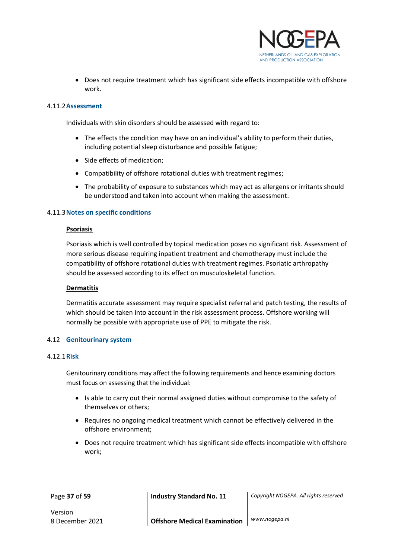

• Does not require treatment which has significant side effects incompatible with offshore work.

#### <span id="page-36-0"></span>4.11.2**Assessment**

Individuals with skin disorders should be assessed with regard to:

- The effects the condition may have on an individual's ability to perform their duties, including potential sleep disturbance and possible fatigue;
- Side effects of medication;
- Compatibility of offshore rotational duties with treatment regimes;
- The probability of exposure to substances which may act as allergens or irritants should be understood and taken into account when making the assessment.

#### <span id="page-36-1"></span>4.11.3**Notes on specific conditions**

#### **Psoriasis**

Psoriasis which is well controlled by topical medication poses no significant risk. Assessment of more serious disease requiring inpatient treatment and chemotherapy must include the compatibility of offshore rotational duties with treatment regimes. Psoriatic arthropathy should be assessed according to its effect on musculoskeletal function.

#### **Dermatitis**

Dermatitis accurate assessment may require specialist referral and patch testing, the results of which should be taken into account in the risk assessment process. Offshore working will normally be possible with appropriate use of PPE to mitigate the risk.

#### <span id="page-36-2"></span>4.12 **Genitourinary system**

#### <span id="page-36-3"></span>4.12.1**Risk**

Genitourinary conditions may affect the following requirements and hence examining doctors must focus on assessing that the individual:

- Is able to carry out their normal assigned duties without compromise to the safety of themselves or others;
- Requires no ongoing medical treatment which cannot be effectively delivered in the offshore environment;
- Does not require treatment which has significant side effects incompatible with offshore work;

Page **37** of **59 Industry Standard No. 11** *Copyright NOGEPA. All rights reserved*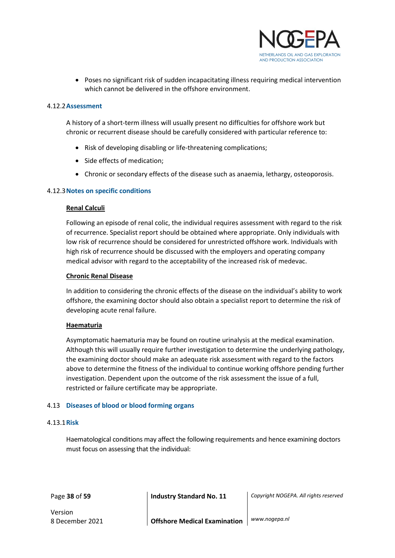

• Poses no significant risk of sudden incapacitating illness requiring medical intervention which cannot be delivered in the offshore environment.

#### <span id="page-37-0"></span>4.12.2**Assessment**

A history of a short-term illness will usually present no difficulties for offshore work but chronic or recurrent disease should be carefully considered with particular reference to:

- Risk of developing disabling or life-threatening complications;
- Side effects of medication;
- Chronic or secondary effects of the disease such as anaemia, lethargy, osteoporosis.

#### <span id="page-37-1"></span>4.12.3**Notes on specific conditions**

#### **Renal Calculi**

Following an episode of renal colic, the individual requires assessment with regard to the risk of recurrence. Specialist report should be obtained where appropriate. Only individuals with low risk of recurrence should be considered for unrestricted offshore work. Individuals with high risk of recurrence should be discussed with the employers and operating company medical advisor with regard to the acceptability of the increased risk of medevac.

#### **Chronic Renal Disease**

In addition to considering the chronic effects of the disease on the individual's ability to work offshore, the examining doctor should also obtain a specialist report to determine the risk of developing acute renal failure.

#### **Haematuria**

Asymptomatic haematuria may be found on routine urinalysis at the medical examination. Although this will usually require further investigation to determine the underlying pathology, the examining doctor should make an adequate risk assessment with regard to the factors above to determine the fitness of the individual to continue working offshore pending further investigation. Dependent upon the outcome of the risk assessment the issue of a full, restricted or failure certificate may be appropriate.

#### <span id="page-37-2"></span>4.13 **Diseases of blood or blood forming organs**

#### <span id="page-37-3"></span>4.13.1**Risk**

Haematological conditions may affect the following requirements and hence examining doctors must focus on assessing that the individual:

Page **38** of **59 Industry Standard No. 11** *Copyright NOGEPA. All rights reserved*

Version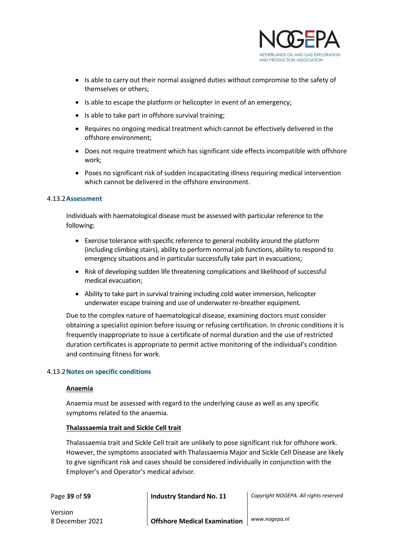

- Is able to carry out their normal assigned duties without compromise to the safety of themselves or others;
- Is able to escape the platform or helicopter in event of an emergency;
- Is able to take part in offshore survival training;
- Requires no ongoing medical treatment which cannot be effectively delivered in the offshore environment;
- Does not require treatment which has significant side effects incompatible with offshore work;
- Poses no significant risk of sudden incapacitating illness requiring medical intervention which cannot be delivered in the offshore environment.

#### <span id="page-38-0"></span>4.13.2**Assessment**

Individuals with haematological disease must be assessed with particular reference to the following:

- Exercise tolerance with specific reference to general mobility around the platform (including climbing stairs), ability to perform normal job functions, ability to respond to emergency situations and in particular successfully take part in evacuations;
- Risk of developing sudden life threatening complications and likelihood of successful medical evacuation;
- Ability to take part in survival training including cold water immersion, helicopter underwater escape training and use of underwater re-breather equipment.

Due to the complex nature of haematological disease, examining doctors must consider obtaining a specialist opinion before issuing or refusing certification. In chronic conditions it is frequently inappropriate to issue a certificate of normal duration and the use of restricted duration certificates is appropriate to permit active monitoring of the individual's condition and continuing fitness for work.

#### <span id="page-38-1"></span>4.13.2**Notes on specific conditions**

#### **Anaemia**

Anaemia must be assessed with regard to the underlying cause as well as any specific symptoms related to the anaemia.

#### **Thalassaemia trait and Sickle Cell trait**

Thalassaemia trait and Sickle Cell trait are unlikely to pose significant risk for offshore work. However, the symptoms associated with Thalassaemia Major and Sickle Cell Disease are likely to give significant risk and cases should be considered individually in conjunction with the Employer's and Operator's medical advisor.

Page **39** of **59 Industry Standard No. 11** *Copyright NOGEPA. All rights reserved*

Version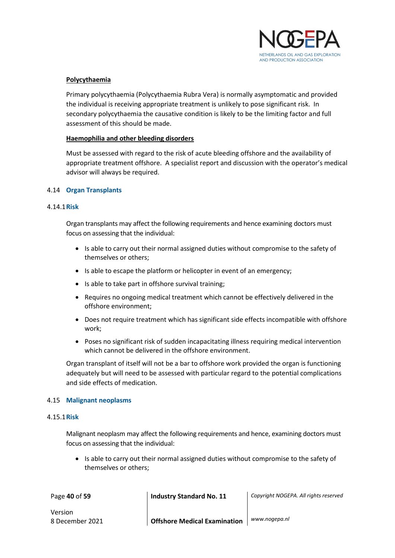

#### **Polycythaemia**

Primary polycythaemia (Polycythaemia Rubra Vera) is normally asymptomatic and provided the individual is receiving appropriate treatment is unlikely to pose significant risk. In secondary polycythaemia the causative condition is likely to be the limiting factor and full assessment of this should be made.

#### **Haemophilia and other bleeding disorders**

Must be assessed with regard to the risk of acute bleeding offshore and the availability of appropriate treatment offshore. A specialist report and discussion with the operator's medical advisor will always be required.

#### <span id="page-39-0"></span>4.14 **Organ Transplants**

#### <span id="page-39-1"></span>4.14.1**Risk**

Organ transplants may affect the following requirements and hence examining doctors must focus on assessing that the individual:

- Is able to carry out their normal assigned duties without compromise to the safety of themselves or others;
- Is able to escape the platform or helicopter in event of an emergency;
- Is able to take part in offshore survival training;
- Requires no ongoing medical treatment which cannot be effectively delivered in the offshore environment;
- Does not require treatment which has significant side effects incompatible with offshore work;
- Poses no significant risk of sudden incapacitating illness requiring medical intervention which cannot be delivered in the offshore environment.

Organ transplant of itself will not be a bar to offshore work provided the organ is functioning adequately but will need to be assessed with particular regard to the potential complications and side effects of medication.

#### <span id="page-39-2"></span>4.15 **Malignant neoplasms**

#### <span id="page-39-3"></span>4.15.1**Risk**

Malignant neoplasm may affect the following requirements and hence, examining doctors must focus on assessing that the individual:

• Is able to carry out their normal assigned duties without compromise to the safety of themselves or others;

Page **40** of **59 Industry Standard No. 11** *Copyright NOGEPA. All rights reserved* Version 8 December 2021 **Offshore Medical Examination** *www.nogepa.nl*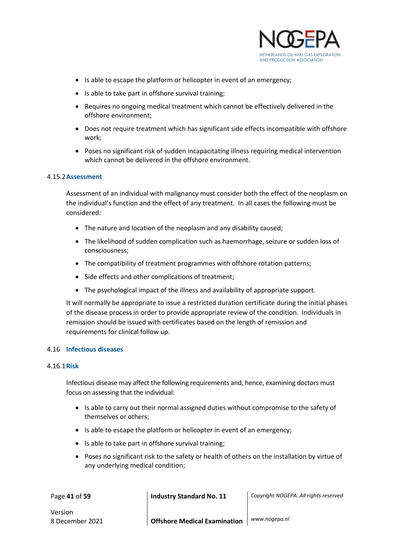

- Is able to escape the platform or helicopter in event of an emergency;
- Is able to take part in offshore survival training;
- Requires no ongoing medical treatment which cannot be effectively delivered in the offshore environment;
- Does not require treatment which has significant side effects incompatible with offshore work;
- Poses no significant risk of sudden incapacitating illness requiring medical intervention which cannot be delivered in the offshore environment.

#### <span id="page-40-0"></span>4.15.2**Assessment**

Assessment of an individual with malignancy must consider both the effect of the neoplasm on the individual's function and the effect of any treatment. In all cases the following must be considered:

- The nature and location of the neoplasm and any disability caused;
- The likelihood of sudden complication such as haemorrhage, seizure or sudden loss of consciousness;
- The compatibility of treatment programmes with offshore rotation patterns;
- Side effects and other complications of treatment;
- The psychological impact of the illness and availability of appropriate support.

It will normally be appropriate to issue a restricted duration certificate during the initial phases of the disease process in order to provide appropriate review of the condition. Individuals in remission should be issued with certificates based on the length of remission and requirements for clinical follow up.

#### <span id="page-40-1"></span>4.16 **Infectious diseases**

#### <span id="page-40-2"></span>4.16.1**Risk**

Infectious disease may affect the following requirements and, hence, examining doctors must focus on assessing that the individual:

- Is able to carry out their normal assigned duties without compromise to the safety of themselves or others;
- Is able to escape the platform or helicopter in event of an emergency;
- Is able to take part in offshore survival training;
- Poses no significant risk to the safety or health of others on the installation by virtue of any underlying medical condition;

Page **41** of **59 Industry Standard No. 11** *Copyright NOGEPA. All rights reserved* Version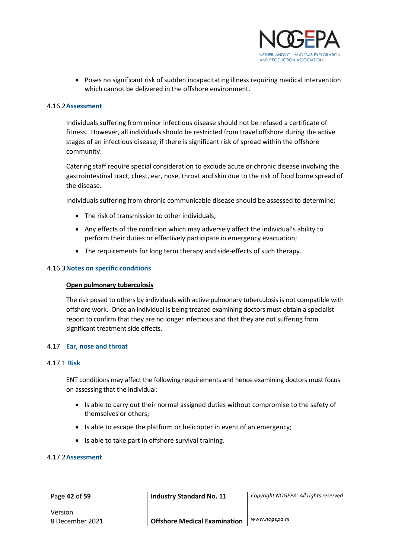

• Poses no significant risk of sudden incapacitating illness requiring medical intervention which cannot be delivered in the offshore environment.

#### <span id="page-41-0"></span>4.16.2**Assessment**

Individuals suffering from minor infectious disease should not be refused a certificate of fitness. However, all individuals should be restricted from travel offshore during the active stages of an infectious disease, if there is significant risk of spread within the offshore community.

Catering staff require special consideration to exclude acute or chronic disease involving the gastrointestinal tract, chest, ear, nose, throat and skin due to the risk of food borne spread of the disease.

Individuals suffering from chronic communicable disease should be assessed to determine:

- The risk of transmission to other individuals;
- Any effects of the condition which may adversely affect the individual's ability to perform their duties or effectively participate in emergency evacuation;
- The requirements for long term therapy and side-effects of such therapy.

#### <span id="page-41-1"></span>4.16.3**Notes on specific conditions**

#### **Open pulmonary tuberculosis**

The risk posed to others by individuals with active pulmonary tuberculosis is not compatible with offshore work. Once an individual is being treated examining doctors must obtain a specialist report to confirm that they are no longer infectious and that they are not suffering from significant treatment side effects.

#### <span id="page-41-2"></span>4.17 **Ear, nose and throat**

#### <span id="page-41-3"></span>4.17.1 **Risk**

ENT conditions may affect the following requirements and hence examining doctors must focus on assessing that the individual:

- Is able to carry out their normal assigned duties without compromise to the safety of themselves or others;
- Is able to escape the platform or helicopter in event of an emergency;
- Is able to take part in offshore survival training.

#### <span id="page-41-4"></span>4.17.2**Assessment**

Page **42** of **59 Industry Standard No. 11** *Copyright NOGEPA. All rights reserved*

Version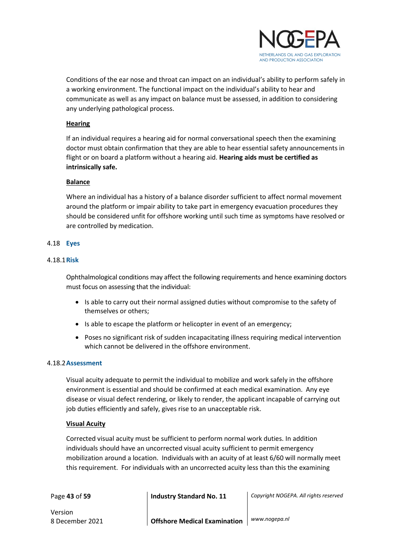

Conditions of the ear nose and throat can impact on an individual's ability to perform safely in a working environment. The functional impact on the individual's ability to hear and communicate as well as any impact on balance must be assessed, in addition to considering any underlying pathological process.

#### **Hearing**

If an individual requires a hearing aid for normal conversational speech then the examining doctor must obtain confirmation that they are able to hear essential safety announcements in flight or on board a platform without a hearing aid. **Hearing aids must be certified as intrinsically safe.**

#### **Balance**

Where an individual has a history of a balance disorder sufficient to affect normal movement around the platform or impair ability to take part in emergency evacuation procedures they should be considered unfit for offshore working until such time as symptoms have resolved or are controlled by medication.

#### <span id="page-42-0"></span>4.18 **Eyes**

#### <span id="page-42-1"></span>4.18.1**Risk**

Ophthalmological conditions may affect the following requirements and hence examining doctors must focus on assessing that the individual:

- Is able to carry out their normal assigned duties without compromise to the safety of themselves or others;
- Is able to escape the platform or helicopter in event of an emergency;
- Poses no significant risk of sudden incapacitating illness requiring medical intervention which cannot be delivered in the offshore environment.

#### <span id="page-42-2"></span>4.18.2**Assessment**

Visual acuity adequate to permit the individual to mobilize and work safely in the offshore environment is essential and should be confirmed at each medical examination. Any eye disease or visual defect rendering, or likely to render, the applicant incapable of carrying out job duties efficiently and safely, gives rise to an unacceptable risk.

#### **Visual Acuity**

Corrected visual acuity must be sufficient to perform normal work duties. In addition individuals should have an uncorrected visual acuity sufficient to permit emergency mobilization around a location. Individuals with an acuity of at least 6/60 will normally meet this requirement. For individuals with an uncorrected acuity less than this the examining

Page **43** of **59 Industry Standard No. 11** *Copyright NOGEPA. All rights reserved*

Version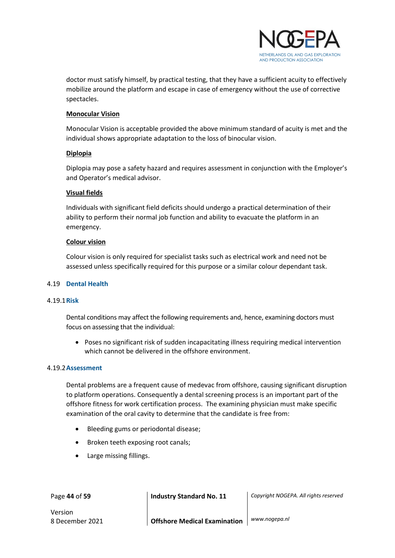

doctor must satisfy himself, by practical testing, that they have a sufficient acuity to effectively mobilize around the platform and escape in case of emergency without the use of corrective spectacles.

#### **Monocular Vision**

Monocular Vision is acceptable provided the above minimum standard of acuity is met and the individual shows appropriate adaptation to the loss of binocular vision.

#### **Diplopia**

Diplopia may pose a safety hazard and requires assessment in conjunction with the Employer's and Operator's medical advisor.

#### **Visual fields**

Individuals with significant field deficits should undergo a practical determination of their ability to perform their normal job function and ability to evacuate the platform in an emergency.

#### **Colour vision**

Colour vision is only required for specialist tasks such as electrical work and need not be assessed unless specifically required for this purpose or a similar colour dependant task.

#### <span id="page-43-0"></span>4.19 **Dental Health**

#### <span id="page-43-1"></span>4.19.1**Risk**

Dental conditions may affect the following requirements and, hence, examining doctors must focus on assessing that the individual:

• Poses no significant risk of sudden incapacitating illness requiring medical intervention which cannot be delivered in the offshore environment.

#### <span id="page-43-2"></span>4.19.2**Assessment**

Dental problems are a frequent cause of medevac from offshore, causing significant disruption to platform operations. Consequently a dental screening process is an important part of the offshore fitness for work certification process. The examining physician must make specific examination of the oral cavity to determine that the candidate is free from:

- Bleeding gums or periodontal disease;
- Broken teeth exposing root canals;
- Large missing fillings.

Page **44** of **59 Industry Standard No. 11** *Copyright NOGEPA. All rights reserved*

Version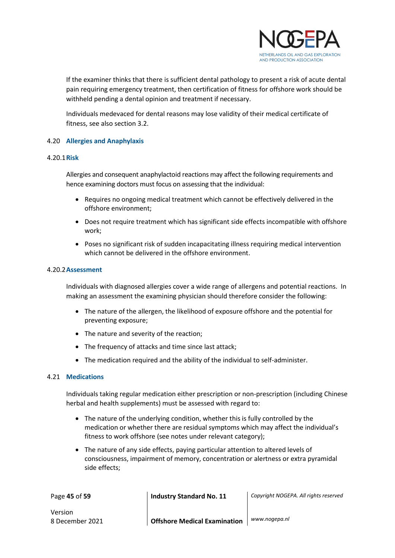

If the examiner thinks that there is sufficient dental pathology to present a risk of acute dental pain requiring emergency treatment, then certification of fitness for offshore work should be withheld pending a dental opinion and treatment if necessary.

Individuals medevaced for dental reasons may lose validity of their medical certificate of fitness, see also section 3.2.

#### <span id="page-44-0"></span>4.20 **Allergies and Anaphylaxis**

#### <span id="page-44-1"></span>4.20.1**Risk**

Allergies and consequent anaphylactoid reactions may affect the following requirements and hence examining doctors must focus on assessing that the individual:

- Requires no ongoing medical treatment which cannot be effectively delivered in the offshore environment;
- Does not require treatment which has significant side effects incompatible with offshore work;
- Poses no significant risk of sudden incapacitating illness requiring medical intervention which cannot be delivered in the offshore environment.

#### <span id="page-44-2"></span>4.20.2**Assessment**

Individuals with diagnosed allergies cover a wide range of allergens and potential reactions. In making an assessment the examining physician should therefore consider the following:

- The nature of the allergen, the likelihood of exposure offshore and the potential for preventing exposure;
- The nature and severity of the reaction;
- The frequency of attacks and time since last attack;
- The medication required and the ability of the individual to self-administer.

#### <span id="page-44-3"></span>4.21 **Medications**

Individuals taking regular medication either prescription or non-prescription (including Chinese herbal and health supplements) must be assessed with regard to:

- The nature of the underlying condition, whether this is fully controlled by the medication or whether there are residual symptoms which may affect the individual's fitness to work offshore (see notes under relevant category);
- The nature of any side effects, paying particular attention to altered levels of consciousness, impairment of memory, concentration or alertness or extra pyramidal side effects;

Page **45** of **59 Industry Standard No. 11** *Copyright NOGEPA. All rights reserved* Version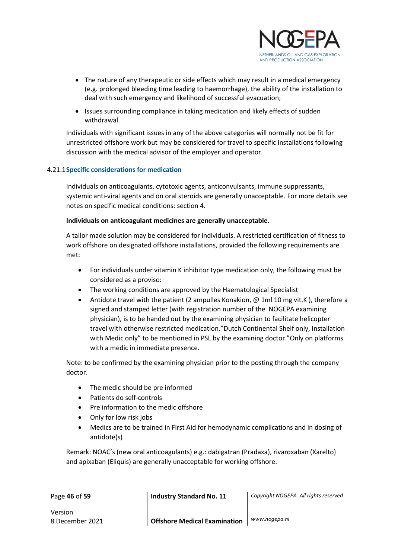

- The nature of any therapeutic or side effects which may result in a medical emergency (e.g. prolonged bleeding time leading to haemorrhage), the ability of the installation to deal with such emergency and likelihood of successful evacuation;
- Issues surrounding compliance in taking medication and likely effects of sudden withdrawal.

Individuals with significant issues in any of the above categories will normally not be fit for unrestricted offshore work but may be considered for travel to specific installations following discussion with the medical advisor of the employer and operator.

#### <span id="page-45-0"></span>4.21.1**Specific considerations for medication**

Individuals on anticoagulants, cytotoxic agents, anticonvulsants, immune suppressants, systemic anti-viral agents and on oral steroids are generally unacceptable. For more details see notes on specific medical conditions: section 4.

#### **Individuals on anticoagulant medicines are generally unacceptable.**

A tailor made solution may be considered for individuals. A restricted certification of fitness to work offshore on designated offshore installations, provided the following requirements are met:

- For individuals under vitamin K inhibitor type medication only, the following must be considered as a proviso:
- The working conditions are approved by the Haematological Specialist
- Antidote travel with the patient (2 ampulles Konakion, @ 1ml 10 mg vit.K), therefore a signed and stamped letter (with registration number of the NOGEPA examining physician), is to be handed out by the examining physician to facilitate helicopter travel with otherwise restricted medication."Dutch Continental Shelf only, Installation with Medic only" to be mentioned in PSL by the examining doctor."Only on platforms with a medic in immediate presence.

Note: to be confirmed by the examining physician prior to the posting through the company doctor.

- The medic should be pre informed
- Patients do self-controls
- Pre information to the medic offshore
- Only for low risk jobs
- Medics are to be trained in First Aid for hemodynamic complications and in dosing of antidote(s)

Remark: NOAC's (new oral anticoagulants) e.g.: dabigatran (Pradaxa), rivaroxaban (Xarelto) and apixaban (Eliquis) are generally unacceptable for working offshore.

Page **46** of **59 Industry Standard No. 11** *Copyright NOGEPA. All rights reserved*

Version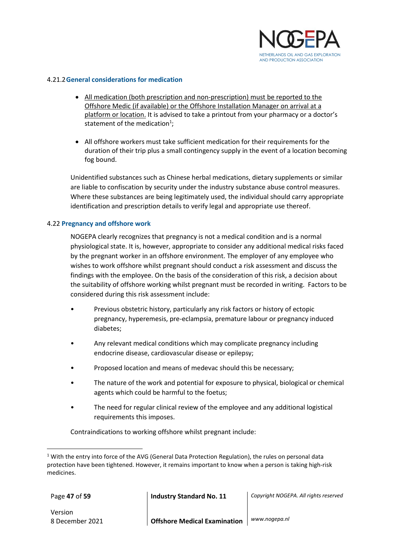

#### <span id="page-46-0"></span>4.21.2**General considerations for medication**

- All medication (both prescription and non-prescription) must be reported to the Offshore Medic (if available) or the Offshore Installation Manager on arrival at a platform or location. It is advised to take a printout from your pharmacy or a doctor's statement of the medication<sup>1</sup>;
- All offshore workers must take sufficient medication for their requirements for the duration of their trip plus a small contingency supply in the event of a location becoming fog bound.

Unidentified substances such as Chinese herbal medications, dietary supplements or similar are liable to confiscation by security under the industry substance abuse control measures. Where these substances are being legitimately used, the individual should carry appropriate identification and prescription details to verify legal and appropriate use thereof.

#### <span id="page-46-1"></span>4.22 **Pregnancy and offshore work**

NOGEPA clearly recognizes that pregnancy is not a medical condition and is a normal physiological state. It is, however, appropriate to consider any additional medical risks faced by the pregnant worker in an offshore environment. The employer of any employee who wishes to work offshore whilst pregnant should conduct a risk assessment and discuss the findings with the employee. On the basis of the consideration of this risk, a decision about the suitability of offshore working whilst pregnant must be recorded in writing. Factors to be considered during this risk assessment include:

- Previous obstetric history, particularly any risk factors or history of ectopic pregnancy, hyperemesis, pre-eclampsia, premature labour or pregnancy induced diabetes;
- Any relevant medical conditions which may complicate pregnancy including endocrine disease, cardiovascular disease or epilepsy;
- Proposed location and means of medevac should this be necessary;
- The nature of the work and potential for exposure to physical, biological or chemical agents which could be harmful to the foetus;
- The need for regular clinical review of the employee and any additional logistical requirements this imposes.

Contraindications to working offshore whilst pregnant include:

Page **47** of **59 Industry Standard No. 11** *Copyright NOGEPA. All rights reserved*

 $1$  With the entry into force of the AVG (General Data Protection Regulation), the rules on personal data protection have been tightened. However, it remains important to know when a person is taking high-risk medicines.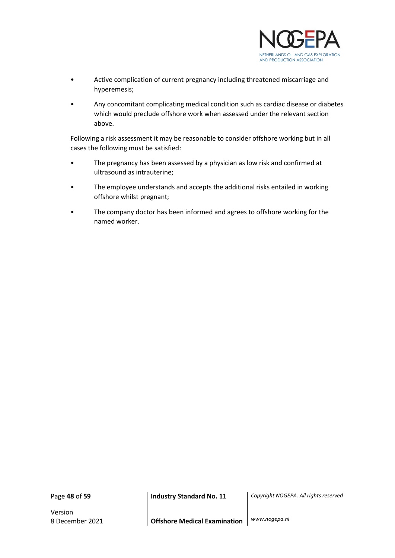

- Active complication of current pregnancy including threatened miscarriage and hyperemesis;
- Any concomitant complicating medical condition such as cardiac disease or diabetes which would preclude offshore work when assessed under the relevant section above.

Following a risk assessment it may be reasonable to consider offshore working but in all cases the following must be satisfied:

- The pregnancy has been assessed by a physician as low risk and confirmed at ultrasound as intrauterine;
- The employee understands and accepts the additional risks entailed in working offshore whilst pregnant;
- The company doctor has been informed and agrees to offshore working for the named worker.

Version

Page **48** of **59 Industry Standard No. 11** *Copyright NOGEPA. All rights reserved*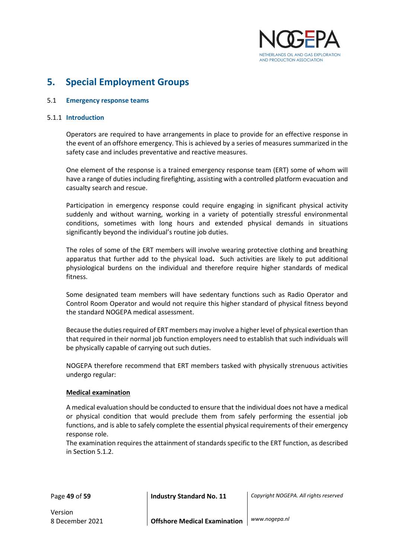

## <span id="page-48-0"></span>**5. Special Employment Groups**

#### <span id="page-48-1"></span>5.1 **Emergency response teams**

#### <span id="page-48-2"></span>5.1.1 **Introduction**

Operators are required to have arrangements in place to provide for an effective response in the event of an offshore emergency. This is achieved by a series of measures summarized in the safety case and includes preventative and reactive measures.

One element of the response is a trained emergency response team (ERT) some of whom will have a range of duties including firefighting, assisting with a controlled platform evacuation and casualty search and rescue.

Participation in emergency response could require engaging in significant physical activity suddenly and without warning, working in a variety of potentially stressful environmental conditions, sometimes with long hours and extended physical demands in situations significantly beyond the individual's routine job duties.

The roles of some of the ERT members will involve wearing protective clothing and breathing apparatus that further add to the physical load**.** Such activities are likely to put additional physiological burdens on the individual and therefore require higher standards of medical fitness.

Some designated team members will have sedentary functions such as Radio Operator and Control Room Operator and would not require this higher standard of physical fitness beyond the standard NOGEPA medical assessment.

Because the duties required of ERT members may involve a higher level of physical exertion than that required in their normal job function employers need to establish that such individuals will be physically capable of carrying out such duties.

NOGEPA therefore recommend that ERT members tasked with physically strenuous activities undergo regular:

#### **Medical examination**

A medical evaluation should be conducted to ensure that the individual does not have a medical or physical condition that would preclude them from safely performing the essential job functions, and is able to safely complete the essential physical requirements of their emergency response role.

The examination requires the attainment of standards specific to the ERT function, as described in Section 5.1.2.

Page **49** of **59 Industry Standard No. 11** *Copyright NOGEPA. All rights reserved*

Version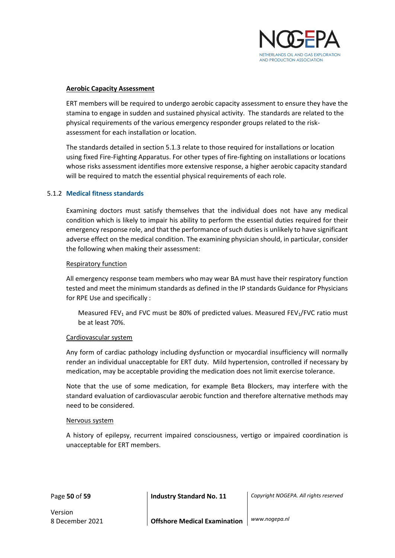

#### **Aerobic Capacity Assessment**

ERT members will be required to undergo aerobic capacity assessment to ensure they have the stamina to engage in sudden and sustained physical activity. The standards are related to the physical requirements of the various emergency responder groups related to the riskassessment for each installation or location.

The standards detailed in section 5.1.3 relate to those required for installations or location using fixed Fire-Fighting Apparatus. For other types of fire-fighting on installations or locations whose risks assessment identifies more extensive response, a higher aerobic capacity standard will be required to match the essential physical requirements of each role.

#### <span id="page-49-0"></span>5.1.2 **Medical fitness standards**

Examining doctors must satisfy themselves that the individual does not have any medical condition which is likely to impair his ability to perform the essential duties required for their emergency response role, and that the performance of such duties is unlikely to have significant adverse effect on the medical condition. The examining physician should, in particular, consider the following when making their assessment:

#### Respiratory function

All emergency response team members who may wear BA must have their respiratory function tested and meet the minimum standards as defined in the IP standards Guidance for Physicians for RPE Use and specifically :

Measured FEV<sub>1</sub> and FVC must be 80% of predicted values. Measured FEV<sub>1</sub>/FVC ratio must be at least 70%.

#### Cardiovascular system

Any form of cardiac pathology including dysfunction or myocardial insufficiency will normally render an individual unacceptable for ERT duty. Mild hypertension, controlled if necessary by medication, may be acceptable providing the medication does not limit exercise tolerance.

Note that the use of some medication, for example Beta Blockers, may interfere with the standard evaluation of cardiovascular aerobic function and therefore alternative methods may need to be considered.

#### Nervous system

A history of epilepsy, recurrent impaired consciousness, vertigo or impaired coordination is unacceptable for ERT members.

Page **50** of **59 Industry Standard No. 11** *Copyright NOGEPA. All rights reserved*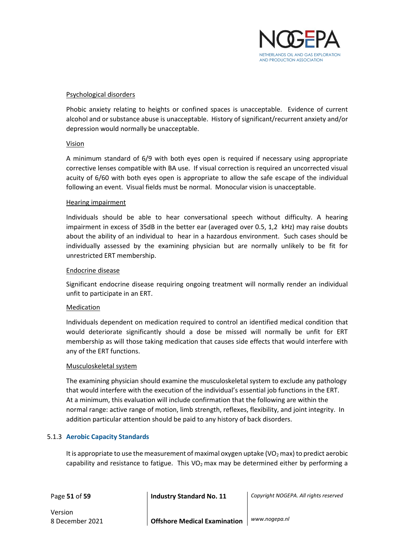

#### Psychological disorders

Phobic anxiety relating to heights or confined spaces is unacceptable. Evidence of current alcohol and or substance abuse is unacceptable. History of significant/recurrent anxiety and/or depression would normally be unacceptable.

#### Vision

A minimum standard of 6/9 with both eyes open is required if necessary using appropriate corrective lenses compatible with BA use. If visual correction is required an uncorrected visual acuity of 6/60 with both eyes open is appropriate to allow the safe escape of the individual following an event. Visual fields must be normal. Monocular vision is unacceptable.

#### Hearing impairment

Individuals should be able to hear conversational speech without difficulty. A hearing impairment in excess of 35dB in the better ear (averaged over 0.5, 1,2 kHz) may raise doubts about the ability of an individual to hear in a hazardous environment. Such cases should be individually assessed by the examining physician but are normally unlikely to be fit for unrestricted ERT membership.

#### Endocrine disease

Significant endocrine disease requiring ongoing treatment will normally render an individual unfit to participate in an ERT.

#### Medication

Individuals dependent on medication required to control an identified medical condition that would deteriorate significantly should a dose be missed will normally be unfit for ERT membership as will those taking medication that causes side effects that would interfere with any of the ERT functions.

#### Musculoskeletal system

The examining physician should examine the musculoskeletal system to exclude any pathology that would interfere with the execution of the individual's essential job functions in the ERT. At a minimum, this evaluation will include confirmation that the following are within the normal range: active range of motion, limb strength, reflexes, flexibility, and joint integrity. In addition particular attention should be paid to any history of back disorders.

#### <span id="page-50-0"></span>5.1.3 **Aerobic Capacity Standards**

It is appropriate to use the measurement of maximal oxygen uptake ( $VO<sub>2</sub>$  max) to predict aerobic capability and resistance to fatigue. This  $VO<sub>2</sub>$  max may be determined either by performing a

Page **51** of **59 Industry Standard No. 11** *Copyright NOGEPA. All rights reserved*

Version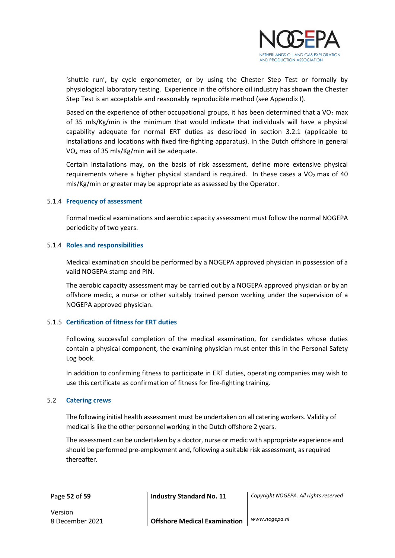

'shuttle run', by cycle ergonometer, or by using the Chester Step Test or formally by physiological laboratory testing. Experience in the offshore oil industry has shown the Chester Step Test is an acceptable and reasonably reproducible method (see Appendix I).

Based on the experience of other occupational groups, it has been determined that a  $VO<sub>2</sub>$  max of 35 mls/Kg/min is the minimum that would indicate that individuals will have a physical capability adequate for normal ERT duties as described in section 3.2.1 (applicable to installations and locations with fixed fire-fighting apparatus). In the Dutch offshore in general VO<sup>2</sup> max of 35 mls/Kg/min will be adequate.

Certain installations may, on the basis of risk assessment, define more extensive physical requirements where a higher physical standard is required. In these cases a  $VO<sub>2</sub>$  max of 40 mls/Kg/min or greater may be appropriate as assessed by the Operator.

#### <span id="page-51-0"></span>5.1.4 **Frequency of assessment**

Formal medical examinations and aerobic capacity assessment must follow the normal NOGEPA periodicity of two years.

#### <span id="page-51-1"></span>5.1.4 **Roles and responsibilities**

Medical examination should be performed by a NOGEPA approved physician in possession of a valid NOGEPA stamp and PIN.

The aerobic capacity assessment may be carried out by a NOGEPA approved physician or by an offshore medic, a nurse or other suitably trained person working under the supervision of a NOGEPA approved physician.

#### <span id="page-51-2"></span>5.1.5 **Certification of fitness for ERT duties**

Following successful completion of the medical examination, for candidates whose duties contain a physical component, the examining physician must enter this in the Personal Safety Log book.

In addition to confirming fitness to participate in ERT duties, operating companies may wish to use this certificate as confirmation of fitness for fire-fighting training.

#### <span id="page-51-3"></span>5.2 **Catering crews**

The following initial health assessment must be undertaken on all catering workers. Validity of medical is like the other personnel working in the Dutch offshore 2 years.

The assessment can be undertaken by a doctor, nurse or medic with appropriate experience and should be performed pre-employment and, following a suitable risk assessment, as required thereafter.

Page **52** of **59 Industry Standard No. 11** *Copyright NOGEPA. All rights reserved*

Version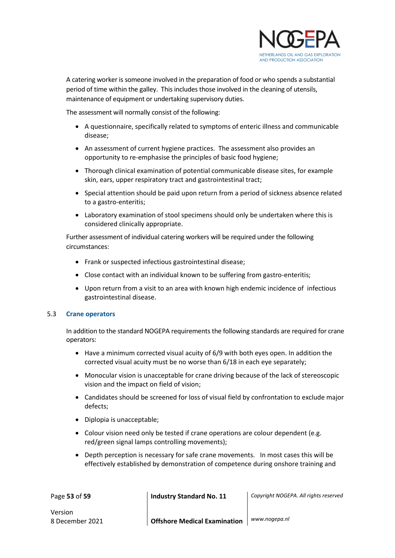

A catering worker is someone involved in the preparation of food or who spends a substantial period of time within the galley. This includes those involved in the cleaning of utensils, maintenance of equipment or undertaking supervisory duties.

The assessment will normally consist of the following:

- A questionnaire, specifically related to symptoms of enteric illness and communicable disease;
- An assessment of current hygiene practices. The assessment also provides an opportunity to re-emphasise the principles of basic food hygiene;
- Thorough clinical examination of potential communicable disease sites, for example skin, ears, upper respiratory tract and gastrointestinal tract;
- Special attention should be paid upon return from a period of sickness absence related to a gastro-enteritis;
- Laboratory examination of stool specimens should only be undertaken where this is considered clinically appropriate.

Further assessment of individual catering workers will be required under the following circumstances:

- Frank or suspected infectious gastrointestinal disease;
- Close contact with an individual known to be suffering from gastro-enteritis;
- Upon return from a visit to an area with known high endemic incidence of infectious gastrointestinal disease.

#### <span id="page-52-0"></span>5.3 **Crane operators**

In addition to the standard NOGEPA requirements the following standards are required for crane operators:

- Have a minimum corrected visual acuity of 6/9 with both eyes open. In addition the corrected visual acuity must be no worse than 6/18 in each eye separately;
- Monocular vision is unacceptable for crane driving because of the lack of stereoscopic vision and the impact on field of vision;
- Candidates should be screened for loss of visual field by confrontation to exclude major defects;
- Diplopia is unacceptable;
- Colour vision need only be tested if crane operations are colour dependent (e.g. red/green signal lamps controlling movements);
- Depth perception is necessary for safe crane movements. In most cases this will be effectively established by demonstration of competence during onshore training and

Page **53** of **59 Industry Standard No. 11** *Copyright NOGEPA. All rights reserved*

Version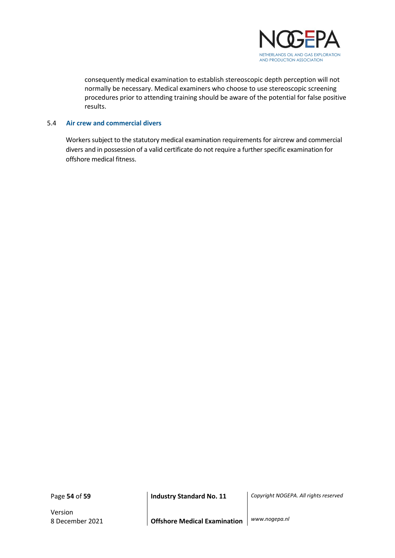

consequently medical examination to establish stereoscopic depth perception will not normally be necessary. Medical examiners who choose to use stereoscopic screening procedures prior to attending training should be aware of the potential for false positive results.

#### <span id="page-53-0"></span>5.4 **Air crew and commercial divers**

Workers subject to the statutory medical examination requirements for aircrew and commercial divers and in possession of a valid certificate do not require a further specific examination for offshore medical fitness.

Version

Page **54** of **59 Industry Standard No. 11** *Copyright NOGEPA. All rights reserved*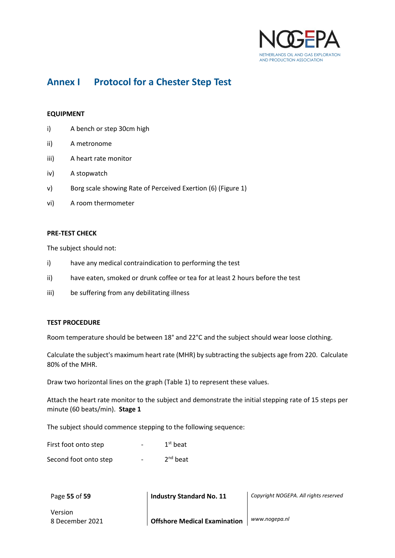

## **Annex I Protocol for a Chester Step Test**

#### **EQUIPMENT**

- i) A bench or step 30cm high
- ii) A metronome
- iii) A heart rate monitor
- iv) A stopwatch
- v) Borg scale showing Rate of Perceived Exertion (6) (Figure 1)
- vi) A room thermometer

#### **PRE-TEST CHECK**

The subject should not:

- i) have any medical contraindication to performing the test
- ii) have eaten, smoked or drunk coffee or tea for at least 2 hours before the test
- iii) be suffering from any debilitating illness

#### **TEST PROCEDURE**

Room temperature should be between 18° and 22°C and the subject should wear loose clothing.

Calculate the subject's maximum heart rate (MHR) by subtracting the subjects age from 220. Calculate 80% of the MHR.

Draw two horizontal lines on the graph (Table 1) to represent these values.

Attach the heart rate monitor to the subject and demonstrate the initial stepping rate of 15 steps per minute (60 beats/min). **Stage 1**

The subject should commence stepping to the following sequence:

| First foot onto step  | $\overline{\phantom{0}}$ | $1st$ beat    |
|-----------------------|--------------------------|---------------|
| Second foot onto step | $\overline{\phantom{0}}$ | $2^{nd}$ beat |

| Page 55 of 59   | <b>Industry Standard No. 11</b>     | Copyright NOGEPA. All rights reserved |  |  |
|-----------------|-------------------------------------|---------------------------------------|--|--|
| Version         |                                     |                                       |  |  |
| 8 December 2021 | <b>Offshore Medical Examination</b> | www.nogepa.nl                         |  |  |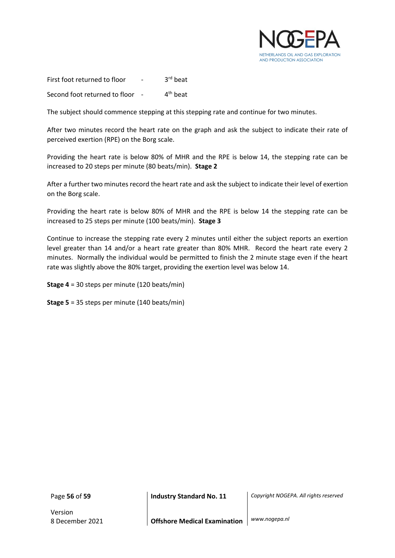

First foot returned to floor 3<sup>rd</sup> beat Second foot returned to floor - $4<sup>th</sup>$  beat

The subject should commence stepping at this stepping rate and continue for two minutes.

After two minutes record the heart rate on the graph and ask the subject to indicate their rate of perceived exertion (RPE) on the Borg scale.

Providing the heart rate is below 80% of MHR and the RPE is below 14, the stepping rate can be increased to 20 steps per minute (80 beats/min). **Stage 2**

After a further two minutes record the heart rate and ask the subject to indicate their level of exertion on the Borg scale.

Providing the heart rate is below 80% of MHR and the RPE is below 14 the stepping rate can be increased to 25 steps per minute (100 beats/min). **Stage 3**

Continue to increase the stepping rate every 2 minutes until either the subject reports an exertion level greater than 14 and/or a heart rate greater than 80% MHR. Record the heart rate every 2 minutes. Normally the individual would be permitted to finish the 2 minute stage even if the heart rate was slightly above the 80% target, providing the exertion level was below 14.

**Stage 4** = 30 steps per minute (120 beats/min)

**Stage 5** = 35 steps per minute (140 beats/min)

Version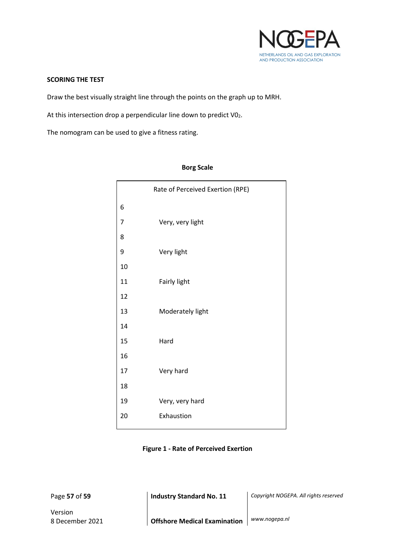

#### **SCORING THE TEST**

Draw the best visually straight line through the points on the graph up to MRH.

At this intersection drop a perpendicular line down to predict  $V0<sub>2</sub>$ .

The nomogram can be used to give a fitness rating.

| Rate of Perceived Exertion (RPE) |
|----------------------------------|
|                                  |
| Very, very light                 |
|                                  |
| Very light                       |
|                                  |
| Fairly light                     |
|                                  |
| Moderately light                 |
|                                  |
| Hard                             |
|                                  |
| Very hard                        |
|                                  |
| Very, very hard                  |
| Exhaustion                       |
|                                  |

#### **Borg Scale**

**Figure 1 - Rate of Perceived Exertion**

Version

Page **57** of **59 Industry Standard No. 11** *Copyright NOGEPA. All rights reserved*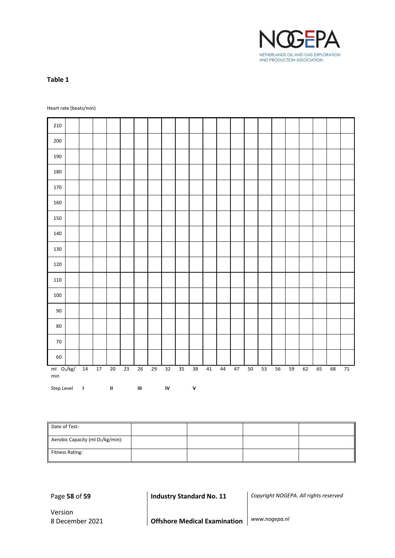

#### **Table 1**

Heart rate (beats/min)

| 210                                        |    |                   |             |    |                                    |    |            |    |               |    |    |    |        |    |    |    |    |    |    |    |
|--------------------------------------------|----|-------------------|-------------|----|------------------------------------|----|------------|----|---------------|----|----|----|--------|----|----|----|----|----|----|----|
| 200                                        |    |                   |             |    |                                    |    |            |    |               |    |    |    |        |    |    |    |    |    |    |    |
| 190                                        |    |                   |             |    |                                    |    |            |    |               |    |    |    |        |    |    |    |    |    |    |    |
| 180                                        |    |                   |             |    |                                    |    |            |    |               |    |    |    |        |    |    |    |    |    |    |    |
| 170                                        |    |                   |             |    |                                    |    |            |    |               |    |    |    |        |    |    |    |    |    |    |    |
| 160                                        |    |                   |             |    |                                    |    |            |    |               |    |    |    |        |    |    |    |    |    |    |    |
| 150                                        |    |                   |             |    |                                    |    |            |    |               |    |    |    |        |    |    |    |    |    |    |    |
| 140                                        |    |                   |             |    |                                    |    |            |    |               |    |    |    |        |    |    |    |    |    |    |    |
| 130                                        |    |                   |             |    |                                    |    |            |    |               |    |    |    |        |    |    |    |    |    |    |    |
| 120                                        |    |                   |             |    |                                    |    |            |    |               |    |    |    |        |    |    |    |    |    |    |    |
| 110                                        |    |                   |             |    |                                    |    |            |    |               |    |    |    |        |    |    |    |    |    |    |    |
| 100                                        |    |                   |             |    |                                    |    |            |    |               |    |    |    |        |    |    |    |    |    |    |    |
| $90\,$                                     |    |                   |             |    |                                    |    |            |    |               |    |    |    |        |    |    |    |    |    |    |    |
| $80\,$                                     |    |                   |             |    |                                    |    |            |    |               |    |    |    |        |    |    |    |    |    |    |    |
| $70\,$                                     |    |                   |             |    |                                    |    |            |    |               |    |    |    |        |    |    |    |    |    |    |    |
| 60                                         |    |                   |             |    |                                    |    |            |    |               |    |    |    |        |    |    |    |    |    |    |    |
| $ml$ O <sub>2</sub> /kg/<br>$\mathsf{min}$ | 14 | 17                | $20\,$      | 23 | 26                                 | 29 | 32         | 35 | 38            | 41 | 44 | 47 | $50\,$ | 53 | 56 | 59 | 62 | 65 | 68 | 71 |
| Step Level                                 |    | <b>The Common</b> | $\mathbf H$ |    | $\ensuremath{\mathsf{III}}\xspace$ |    | ${\sf IV}$ |    | ${\mathsf v}$ |    |    |    |        |    |    |    |    |    |    |    |

| Date of Test:                        |  |  |
|--------------------------------------|--|--|
| Aerobic Capacity (ml $O_2/kg/min$ ): |  |  |
| Fitness Rating:                      |  |  |

Page **58** of **59 Industry Standard No. 11** *Copyright NOGEPA. All rights reserved*

Version